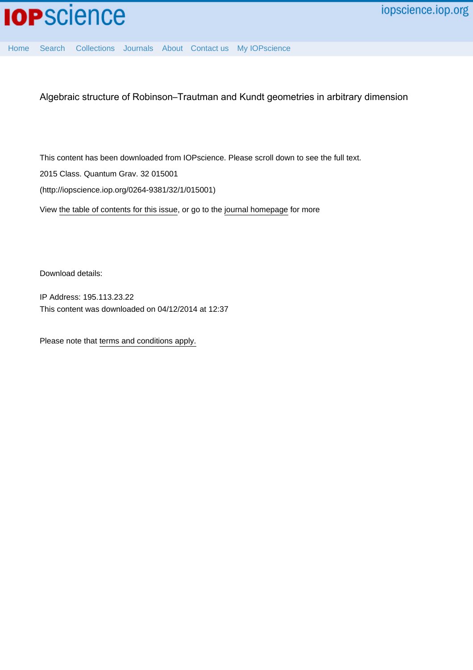

[Home](http://iopscience.iop.org/) [Search](http://iopscience.iop.org/search) [Collections](http://iopscience.iop.org/collections) [Journals](http://iopscience.iop.org/journals) [About](http://iopscience.iop.org/page/aboutioppublishing) [Contact us](http://iopscience.iop.org/contact) [My IOPscience](http://iopscience.iop.org/myiopscience)

Algebraic structure of Robinson–Trautman and Kundt geometries in arbitrary dimension

This content has been downloaded from IOPscience. Please scroll down to see the full text.

2015 Class. Quantum Grav. 32 015001

(http://iopscience.iop.org/0264-9381/32/1/015001)

View [the table of contents for this issue](http://iopscience.iop.org/0264-9381/32/1), or go to the [journal homepage](http://iopscience.iop.org/0264-9381) for more

Download details:

IP Address: 195.113.23.22 This content was downloaded on 04/12/2014 at 12:37

Please note that [terms and conditions apply.](iopscience.iop.org/page/terms)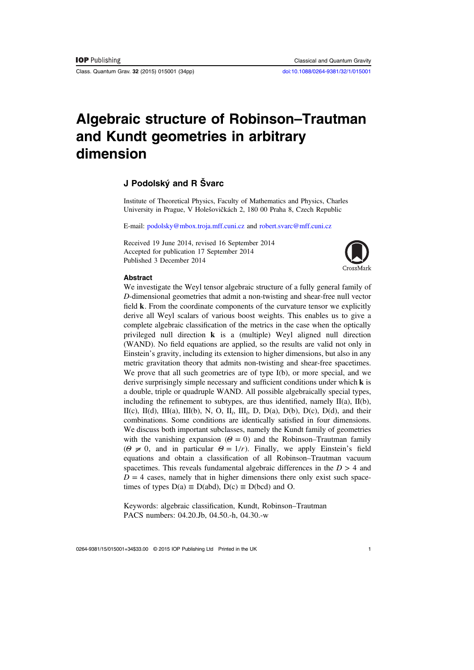Class. Quantum Grav. 32 (2015) 015001 (34pp) [doi:10.1088/0264-9381/32/1/015001](http://dx.doi.org/10.1088/0264-9381/32/1/015001)

# Algebraic structure of Robinson–Trautman and Kundt geometries in arbitrary dimension

# J Podolský and R Švarc

Institute of Theoretical Physics, Faculty of Mathematics and Physics, Charles University in Prague, V Holešovičkách 2, 180 00 Praha 8, Czech Republic

E-mail: [podolsky@mbox.troja.mff.cuni.cz](mailto:podolsky@mbox.troja.mff.cuni.cz) and [robert.svarc@mff.cuni.cz](mailto:robert.svarc@mff.cuni.cz)

Received 19 June 2014, revised 16 September 2014 Accepted for publication 17 September 2014 Published 3 December 2014



#### **Abstract**

We investigate the Weyl tensor algebraic structure of a fully general family of D-dimensional geometries that admit a non-twisting and shear-free null vector field **k**. From the coordinate components of the curvature tensor we explicitly derive all Weyl scalars of various boost weights. This enables us to give a complete algebraic classification of the metrics in the case when the optically privileged null direction **k** is a (multiple) Weyl aligned null direction (WAND). No field equations are applied, so the results are valid not only in Einstein's gravity, including its extension to higher dimensions, but also in any metric gravitation theory that admits non-twisting and shear-free spacetimes. We prove that all such geometries are of type I(b), or more special, and we derive surprisingly simple necessary and sufficient conditions under which **k** is a double, triple or quadruple WAND. All possible algebraically special types, including the refinement to subtypes, are thus identified, namely  $II(a)$ ,  $II(b)$ , II(c), II(d), III(a), III(b), N, O, II<sub>i</sub>, III<sub>i</sub>, D, D(a), D(b), D(c), D(d), and their combinations. Some conditions are identically satisfied in four dimensions. We discuss both important subclasses, namely the Kundt family of geometries with the vanishing expansion ( $\Theta = 0$ ) and the Robinson–Trautman family  $(\Theta \neq 0, \text{ and in particular } \Theta = 1/r)$ . Finally, we apply Einstein's field equations and obtain a classification of all Robinson–Trautman vacuum spacetimes. This reveals fundamental algebraic differences in the  $D > 4$  and  $D = 4$  cases, namely that in higher dimensions there only exist such spacetimes of types  $D(a) \equiv D(abd)$ ,  $D(c) \equiv D(bcd)$  and O.

Keywords: algebraic classification, Kundt, Robinson–Trautman PACS numbers: 04.20.Jb, 04.50.-h, 04.30.-w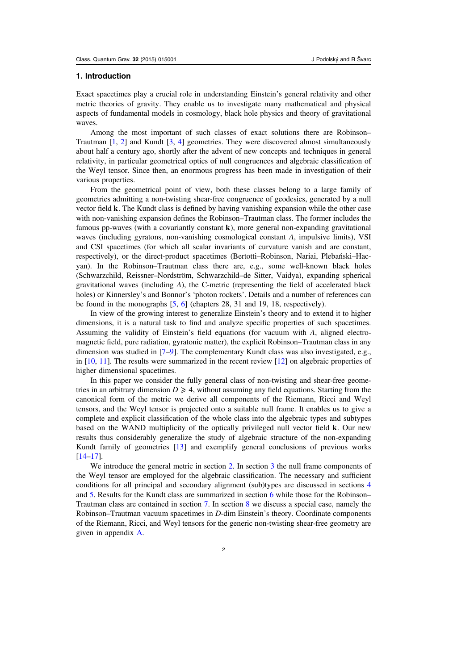#### 1. Introduction

Exact spacetimes play a crucial role in understanding Einstein's general relativity and other metric theories of gravity. They enable us to investigate many mathematical and physical aspects of fundamental models in cosmology, black hole physics and theory of gravitational waves.

Among the most important of such classes of exact solutions there are Robinson– Trautman [[1,](#page-33-0) [2\]](#page-33-0) and Kundt [\[3](#page-33-0), [4](#page-33-0)] geometries. They were discovered almost simultaneously about half a century ago, shortly after the advent of new concepts and techniques in general relativity, in particular geometrical optics of null congruences and algebraic classification of the Weyl tensor. Since then, an enormous progress has been made in investigation of their various properties.

From the geometrical point of view, both these classes belong to a large family of geometries admitting a non-twisting shear-free congruence of geodesics, generated by a null vector field **k**. The Kundt class is defined by having vanishing expansion while the other case with non-vanishing expansion defines the Robinson–Trautman class. The former includes the famous pp-waves (with a covariantly constant **k**), more general non-expanding gravitational waves (including gyratons, non-vanishing cosmological constant Λ, impulsive limits), VSI and CSI spacetimes (for which all scalar invariants of curvature vanish and are constant, respectively), or the direct-product spacetimes (Bertotti–Robinson, Nariai, Plebański–Hacyan). In the Robinson–Trautman class there are, e.g., some well-known black holes (Schwarzchild, Reissner–Nordström, Schwarzchild–de Sitter, Vaidya), expanding spherical gravitational waves (including  $\Lambda$ ), the C-metric (representing the field of accelerated black holes) or Kinnersley's and Bonnor's 'photon rockets'. Details and a number of references can be found in the monographs [[5,](#page-33-0) [6](#page-33-0)] (chapters 28, 31 and 19, 18, respectively).

In view of the growing interest to generalize Einstein's theory and to extend it to higher dimensions, it is a natural task to find and analyze specific properties of such spacetimes. Assuming the validity of Einstein's field equations (for vacuum with  $\Lambda$ , aligned electromagnetic field, pure radiation, gyratonic matter), the explicit Robinson–Trautman class in any dimension was studied in [\[7](#page-33-0)–[9](#page-33-0)]. The complementary Kundt class was also investigated, e.g., in [\[10](#page-33-0), [11\]](#page-33-0). The results were summarized in the recent review [\[12](#page-33-0)] on algebraic properties of higher dimensional spacetimes.

In this paper we consider the fully general class of non-twisting and shear-free geometries in an arbitrary dimension  $D \geq 4$ , without assuming any field equations. Starting from the canonical form of the metric we derive all components of the Riemann, Ricci and Weyl tensors, and the Weyl tensor is projected onto a suitable null frame. It enables us to give a complete and explicit classification of the whole class into the algebraic types and subtypes based on the WAND multiplicity of the optically privileged null vector field **k**. Our new results thus considerably generalize the study of algebraic structure of the non-expanding Kundt family of geometries [\[13](#page-33-0)] and exemplify general conclusions of previous works [[14](#page-33-0)–[17\]](#page-33-0).

We introduce the general metric in section [2](#page-3-0). In section [3](#page-4-0) the null frame components of the Weyl tensor are employed for the algebraic classification. The necessary and sufficient conditions for all principal and secondary alignment (sub)types are discussed in sections [4](#page-8-0) and [5.](#page-12-0) Results for the Kundt class are summarized in section [6](#page-13-0) while those for the Robinson– Trautman class are contained in section [7](#page-15-0). In section [8](#page-18-0) we discuss a special case, namely the Robinson–Trautman vacuum spacetimes in D-dim Einstein's theory. Coordinate components of the Riemann, Ricci, and Weyl tensors for the generic non-twisting shear-free geometry are given in appendix [A.](#page-26-0)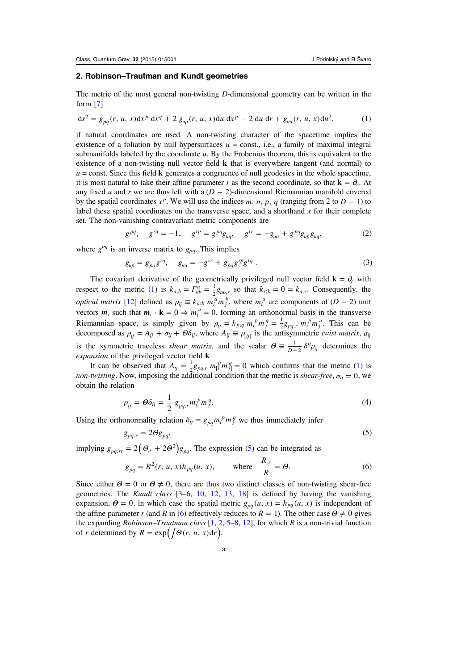#### <span id="page-3-0"></span>2. Robinson–Trautman and Kundt geometries

The metric of the most general non-twisting  $D$ -dimensional geometry can be written in the form [\[7](#page-33-0)]

$$
ds^{2} = g_{pq}(r, u, x)dx^{p} dx^{q} + 2 g_{up}(r, u, x)du dx^{p} - 2 du dr + g_{uu}(r, u, x)du^{2},
$$
 (1)

if natural coordinates are used. A non-twisting character of the spacetime implies the existence of a foliation by null hypersurfaces  $u =$  const., i.e., a family of maximal integral submanifolds labeled by the coordinate  $u$ . By the Frobenius theorem, this is equivalent to the existence of a non-twisting null vector field **k** that is everywhere tangent (and normal) to  $u =$ const. Since this field **k** generates a congruence of null geodesics in the whole spacetime, it is most natural to take their affine parameter r as the second coordinate, so that  $\mathbf{k} = \partial_r$ . At any fixed u and r we are thus left with a  $(D - 2)$ -dimensional Riemannian manifold covered by the spatial coordinates  $x^p$ . We will use the indices *m*, *n*, *p*, *q* (ranging from 2 to *D* − 1) to label these spatial coordinates on the transverse space, and a shorthand  $x$  for their complete set. The non-vanishing contravariant metric components are

$$
g^{pq}, \quad g^{ru} = -1, \quad g^{rp} = g^{pq}g_{uq}, \quad g^{rr} = -g_{uu} + g^{pq}g_{up}g_{uq}, \tag{2}
$$

where  $g^{pq}$  is an inverse matrix to  $g_{pq}$ . This implies

$$
g_{up} = g_{pq}g^{rq}, \quad g_{uu} = -g^{rr} + g_{pq}g^{rp}g^{rq} \,. \tag{3}
$$

The covariant derivative of the geometrically privileged null vector field  $\mathbf{k} = \partial_r$  with respect to the metric (1) is  $k_{a;b} = \Gamma_{ab}^u = \frac{1}{2}g_{ab,r}$  so that  $k_{r;b} = 0 = k_{a;r}$ . Consequently, the *optical matrix* [[12\]](#page-33-0) defined as  $\rho_{ij} \equiv k_{a;b} m_i^a m_j^b$ , where  $m_i^a$  are components of  $(D-2)$  unit vectors  $m_i$  such that  $m_i \cdot \mathbf{k} = 0 \Rightarrow m_i^u = 0$ , forming an orthonormal basis in the transverse Riemannian space, is simply given by  $\rho_{ij} = k_{p;q} m_i^p m_j^q = \frac{1}{2} g_{pq,r} m_i^p m_j^q$ . This can be decomposed as  $\rho_{ij} = A_{ij} + \sigma_{ij} + \Theta \delta_{ij}$ , where  $A_{ij} \equiv \rho_{[ij]}$  is the antisymmetric twist matrix,  $\sigma_{ij}$ is the symmetric traceless *shear matrix*, and the scalar  $\Theta = \frac{1}{D-2} \delta^{ij} \rho_{ij}$  determines the expansion of the privileged vector field **k**.

It can be observed that  $A_{ij} = \frac{1}{2} g_{pq,r} m_i^p m_j^q = 0$  which confirms that the metric (1) is non-twisting. Now, imposing the additional condition that the metric is *shear-free*,  $\sigma_{ij} = 0$ , we obtain the relation

$$
\rho_{ij} = \Theta \delta_{ij} = \frac{1}{2} g_{pq,r} m_i^p m_j^q. \tag{4}
$$

Using the orthonormality relation  $\delta_{ij} = g_{pq} m_i^p m_j^q$  we thus immediately infer

$$
g_{pq,r} = 2\Theta g_{pq},\tag{5}
$$

implying  $g_{pq,rr} = 2(\Theta_r + 2\Theta^2)g_{pq}$ . The expression (5) can be integrated as

$$
g_{pq} = R^2(r, u, x)h_{pq}(u, x), \qquad \text{where} \quad \frac{R_{,r}}{R} = \Theta. \tag{6}
$$

Since either  $\Theta = 0$  or  $\Theta \neq 0$ , there are thus two distinct classes of non-twisting shear-free geometries. The Kundt class [\[3](#page-33-0)–[6](#page-33-0), [10,](#page-33-0) [12](#page-33-0), [13,](#page-33-0) [18](#page-33-0)] is defined by having the vanishing expansion,  $\Theta = 0$ , in which case the spatial metric  $g_{pq}(u, x) = h_{pq}(u, x)$  is independent of the affine parameter r (and R in (6) effectively reduces to  $R = 1$ ). The other case  $\Theta \neq 0$  gives the expanding Robinson–Trautman class  $[1, 2, 5-8, 12]$  $[1, 2, 5-8, 12]$  $[1, 2, 5-8, 12]$  $[1, 2, 5-8, 12]$  $[1, 2, 5-8, 12]$  $[1, 2, 5-8, 12]$  $[1, 2, 5-8, 12]$  $[1, 2, 5-8, 12]$  $[1, 2, 5-8, 12]$ , for which R is a non-trivial function of *r* determined by  $R = \exp(\int \Theta(r, u, x) dr)$ .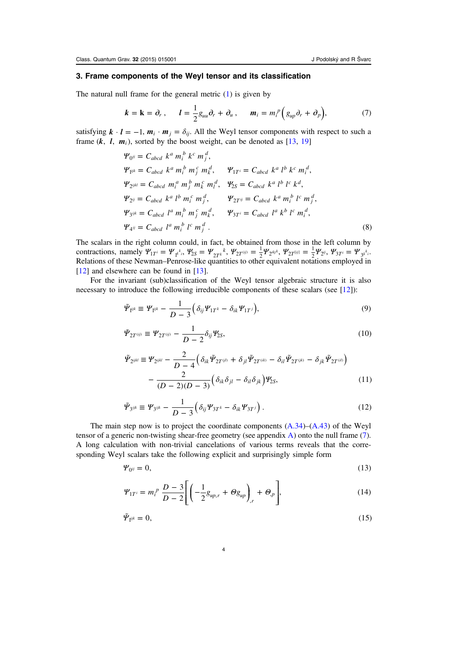# <span id="page-4-0"></span>3. Frame components of the Weyl tensor and its classification

The natural null frame for the general metric ([1\)](#page-3-0) is given by

$$
\boldsymbol{k} = \mathbf{k} = \partial_r, \qquad \boldsymbol{l} = \frac{1}{2} g_{uu} \partial_r + \partial_u, \qquad \boldsymbol{m}_i = m_i^p \Big( g_{up} \partial_r + \partial_p \Big), \tag{7}
$$

satisfying  $k \cdot l = -1$ ,  $m_i \cdot m_j = \delta_{ij}$ . All the Weyl tensor components with respect to such a frame  $(k, l, m_i)$ , sorted by the boost weight, can be denoted as [\[13](#page-33-0), [19\]](#page-33-0)

$$
\Psi_{0^{ij}} = C_{abcd} k^a m_i^b k^c m_j^d,
$$
  
\n
$$
\Psi_{1^{ijk}} = C_{abcd} k^a m_i^b m_j^c m_k^d, \qquad \Psi_{1T^i} = C_{abcd} k^a l^b k^c m_i^d,
$$
  
\n
$$
\Psi_{2^{ijkl}} = C_{abcd} m_i^a m_j^b m_k^c m_i^d, \qquad \Psi_{2S} = C_{abcd} k^a l^b l^c k^d,
$$
  
\n
$$
\Psi_{2^{ij}} = C_{abcd} k^a l^b m_i^c m_j^d, \qquad \Psi_{2T^{ij}} = C_{abcd} k^a m_i^b l^c m_j^d,
$$
  
\n
$$
\Psi_{3^{ijk}} = C_{abcd} l^a m_i^b m_j^c m_k^d, \qquad \Psi_{3T^i} = C_{abcd} l^a k^b l^c m_i^d,
$$
  
\n
$$
\Psi_{4^{ij}} = C_{abcd} l^a m_i^b l^c m_j^d.
$$
  
\n(8)

The scalars in the right column could, in fact, be obtained from those in the left column by contractions, namely  $\Psi_{1T} = \Psi_{1k}^{k_i}$ ,  $\Psi_{2S} = \Psi_{2T}^{k_i}$ ,  $\Psi_{2T}^{(ij)} = \frac{1}{2} \Psi_{2^{ikj}}$ ,  $\Psi_{2T}^{(ij)} = \frac{1}{2} \Psi_{2^{ij}}$ ,  $\Psi_{3T}^{i} = \Psi_{3k}^{k_i}$ . Relations of these Newman–Penrose-like quantities to other equivalent notations employed in [[12\]](#page-33-0) and elsewhere can be found in [\[13\]](#page-33-0).

For the invariant (sub)classification of the Weyl tensor algebraic structure it is also necessary to introduce the following irreducible components of these scalars (see [\[12](#page-33-0)]):

$$
\tilde{\mathbf{\Psi}}_{\mathbf{i}^{ijk}} \equiv \mathbf{\Psi}_{\mathbf{i}^{ijk}} - \frac{1}{D-3} \Big( \delta_{ij} \mathbf{\Psi}_{1T^k} - \delta_{ik} \mathbf{\Psi}_{1T^j} \Big), \tag{9}
$$

$$
\tilde{\mathbf{\Psi}}_{2T^{(ij)}} \equiv \mathbf{\Psi}_{2T^{(ij)}} - \frac{1}{D-2} \delta_{ij} \mathbf{\Psi}_{2S},\tag{10}
$$

$$
\tilde{\Psi}_{2^{ijkl}} \equiv \Psi_{2^{ijkl}} - \frac{2}{D-4} \Big( \delta_{ik} \tilde{\Psi}_{2T^{(jl)}} + \delta_{jl} \tilde{\Psi}_{2T^{(ik)}} - \delta_{il} \tilde{\Psi}_{2T^{(jk)}} - \delta_{jk} \tilde{\Psi}_{2T^{(il)}} \Big) - \frac{2}{(D-2)(D-3)} \Big( \delta_{ik} \delta_{jl} - \delta_{il} \delta_{jk} \Big) \Psi_{2S},
$$
\n(11)

$$
\tilde{\varPsi}_{3^{ijk}} \equiv \varPsi_{3^{ijk}} - \frac{1}{D-3} \Big( \delta_{ij} \varPsi_{3T^k} - \delta_{ik} \varPsi_{3T^j} \Big) \,. \tag{12}
$$

The main step now is to project the coordinate components  $(A.34)$  $(A.34)$  $(A.34)$ – $(A.43)$  $(A.43)$  of the Weyl tensor of a generic non-twisting shear-free geometry (see appendix [A\)](#page-26-0) onto the null frame (7). A long calculation with non-trivial cancelations of various terms reveals that the corresponding Weyl scalars take the following explicit and surprisingly simple form

$$
\Psi_{0^{ij}} = 0,\tag{13}
$$

$$
\Psi_{1T^i} = m_i^p \frac{D-3}{D-2} \Bigg[ \left( -\frac{1}{2} g_{up,r} + \Theta g_{up} \right)_{,r} + \Theta_{,p} \Bigg], \tag{14}
$$

$$
\tilde{\varPsi}_{\mathbf{i}^{ijk}} = 0,\tag{15}
$$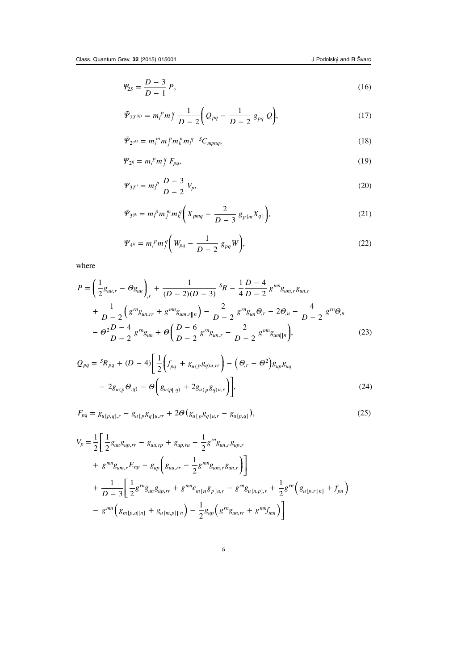<span id="page-5-0"></span>
$$
\Psi_{2S} = \frac{D-3}{D-1} P,\tag{16}
$$

$$
\tilde{\mathcal{Y}}_{2T^{(ij)}} = m_i^p m_j^q \frac{1}{D-2} \bigg( \mathcal{Q}_{pq} - \frac{1}{D-2} g_{pq} \mathcal{Q} \bigg), \tag{17}
$$

$$
\tilde{\varPsi}_{2^{ijkl}} = m_i^m m_j^m m_k^m m_l^q S C_{m p n q}, \qquad (18)
$$

$$
\Psi_{2^{ij}} = m_i^p m_j^q F_{pq},\tag{19}
$$

$$
\Psi_{3T} = m_i^p \frac{D-3}{D-2} V_p, \tag{20}
$$

$$
\tilde{\mathbf{\Psi}}_{3^{ijk}} = m_i^p m_j^m m_k^q \bigg( X_{pmq} - \frac{2}{D-3} \, g_{p[m} X_{q]} \bigg),\tag{21}
$$

$$
\Psi_{4^{ij}} = m_i^p m_j^q \bigg( W_{pq} - \frac{1}{D-2} g_{pq} W \bigg), \tag{22}
$$

where

$$
P = \left(\frac{1}{2}g_{uu,r} - \Theta g_{uu}\right)_{,r} + \frac{1}{(D-2)(D-3)}S_{R} - \frac{1}{4}\frac{D-4}{D-2}g^{mn}g_{um,r}g_{un,r} + \frac{1}{D-2}\left(g^{m}g_{un,r} + g^{mn}g_{um,r}||_{n}\right) - \frac{2}{D-2}g^{rn}g_{un}\Theta_{,r} - 2\Theta_{,u} - \frac{4}{D-2}g^{rn}\Theta_{,n} - \Theta^{2}\frac{D-4}{D-2}g^{rn}g_{un} + \Theta\left(\frac{D-6}{D-2}g^{rn}g_{un,r} - \frac{2}{D-2}g^{mn}g_{um}||_{n}\right),
$$
\n(23)

$$
Q_{pq} = {}^{S}R_{pq} + (D - 4) \left[ \frac{1}{2} \left( f_{pq} + g_{u(p}g_{q)u,rr} \right) - \left( \Theta_{,r} - \Theta^{2} \right) g_{up}g_{uq} - 2g_{u(p}\Theta_{,q)} - \Theta \left( g_{u(p||q)} + 2g_{u(p}g_{q)u,r} \right) \right],
$$
\n(24)

$$
F_{pq} = g_{u[p,q],r} - g_{u[p}g_{q]u,rr} + 2\Theta(g_{u[p}g_{q]u,r} - g_{u[p,q]}),
$$
\n(25)

$$
V_p = \frac{1}{2} \left[ \frac{1}{2} g_{uu} g_{up,rr} - g_{uu,rp} + g_{up,ru} - \frac{1}{2} g^{rn} g_{un,r} g_{up,r} \right]
$$
  
+  $g^{mn} g_{um,r} E_{np} - g_{up} \left( g_{uu,rr} - \frac{1}{2} g^{mn} g_{um,r} g_{un,r} \right) \right]$   
+  $\frac{1}{D-3} \left[ \frac{1}{2} g^{rn} g_{un} g_{up,rr} + g^{mn} e_{m[n} g_{p]u,r} - g^{rn} g_{u[n,p],r} + \frac{1}{2} g^{rn} \left( g_{u[p,r||n]} + f_{pn} \right) \right]$   
-  $g^{mn} \left( g_{m[p,u||n]} + g_{u[m,p]||n} \right) - \frac{1}{2} g_{up} \left( g^{rn} g_{un,rr} + g^{mr} f_{mn} \right) \right]$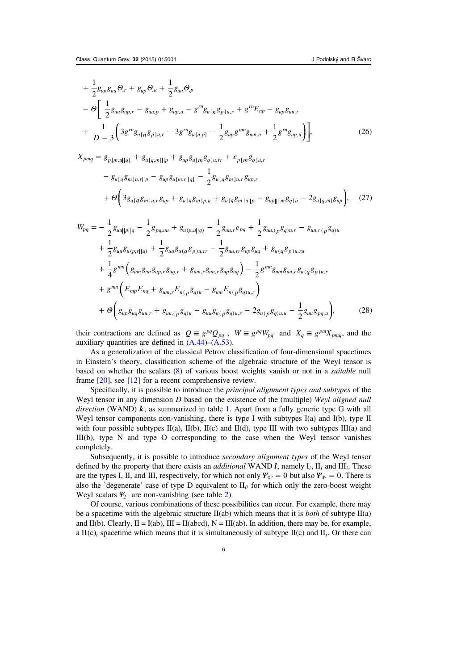<span id="page-6-0"></span>
$$
+\frac{1}{2}g_{up}g_{uu}\Theta_{,r}+g_{up}\Theta_{,u}+\frac{1}{2}g_{uu}\Theta_{,p}-\Theta\left[\frac{1}{2}g_{uu}g_{up,r}-g_{uu,p}+g_{up,u}-g^{rn}g_{u[n}g_{p]u,r}+g^{rn}E_{np}-g_{up}g_{uu,r}+\frac{1}{D-3}\left(3g^{rn}g_{u[n}g_{p]u,r}-3g^{rn}g_{u[n,p]}-\frac{1}{2}g_{up}g^{mn}g_{mn,u}+\frac{1}{2}g^{rn}g_{np,u}\right)\right],
$$
(26)

 $X_{pmq} = g_{p[m,u||q]} + g_{u[q,m]||p} + g_{up}g_{u[m}g_{q]u,rr} + e_{p[m}g_{q]u,r}$ 

$$
-g_{u[q}g_{m]u,r||p} - g_{up}g_{u[m,r||q]} - \frac{1}{2}g_{u[q}g_{m]u,r}g_{up,r}
$$
  
+  $\Theta\left(3g_{u[q}g_{m]u,r}g_{up} + g_{u[q}g_{m]p,u} + g_{u[q}g_{m]u||p} - g_{up||(m}g_{q]u} - 2g_{u[q,m]}g_{up}\right),$  (27)

$$
W_{pq} = -\frac{1}{2}g_{uu||p||q} - \frac{1}{2}g_{pq,uu} + g_{u(p,u||q)} - \frac{1}{2}g_{uu,r}e_{pq} + \frac{1}{2}g_{uu,(p}g_{q)u,r} - g_{uu,r(p}g_{q)u}
$$
  
+ 
$$
\frac{1}{2}g_{uu}g_{u(p,r||q)} + \frac{1}{2}g_{uu}g_{u(q}g_{p)u,rr} - \frac{1}{2}g_{uu,r}g_{up}g_{uq} + g_{u(q}g_{p)u,ru}
$$
  
+ 
$$
\frac{1}{4}g^{mn}\left(g_{um}g_{un}g_{up,r}g_{uq,r} + g_{um,r}g_{un,r}g_{up}g_{uq}\right) - \frac{1}{2}g^{mn}g_{um}g_{un,r}g_{u(q}g_{p)u,r}
$$
  
+ 
$$
g^{mn}\left(E_{mp}E_{nq} + g_{um,r}E_{n(p}g_{q)u} - g_{um}E_{n(p}g_{q)u,r}\right)
$$
  
+ 
$$
\Theta\left(g_{up}g_{uq}g_{uu,r} + g_{uu,(p}g_{q)u} - g_{uu}g_{u(p}g_{q)u,r} - 2g_{u(p}g_{q)u,u} - \frac{1}{2}g_{uu}g_{pq,u}\right),
$$
(28)

their contractions are defined as  $Q \equiv g^{pq}Q_{pq}$ ,  $W \equiv g^{pq}W_{pq}$  and  $X_q \equiv g^{pm}X_{pmq}$ , and the auxiliary quantities are defined in [\(A.44](#page-32-0))–([A.53](#page-33-0)).

As a generalization of the classical Petrov classification of four-dimensional spacetimes in Einstein's theory, classification scheme of the algebraic structure of the Weyl tensor is based on whether the scalars [\(8\)](#page-4-0) of various boost weights vanish or not in a suitable null frame [[20\]](#page-34-0), see [\[12](#page-33-0)] for a recent comprehensive review.

Specifically, it is possible to introduce the principal alignment types and subtypes of the Weyl tensor in any dimension  $D$  based on the existence of the (multiple) Weyl aligned null direction (WAND)  $k$ , as summarized in table [1.](#page-7-0) Apart from a fully generic type G with all Weyl tensor components non-vanishing, there is type I with subtypes I(a) and I(b), type II with four possible subtypes  $II(a)$ ,  $II(b)$ ,  $II(c)$  and  $II(d)$ , type III with two subtypes III(a) and III(b), type N and type O corresponding to the case when the Weyl tensor vanishes completely.

Subsequently, it is possible to introduce secondary alignment types of the Weyl tensor defined by the property that there exists an *additional* WAND *l*, namely  $I_i$ ,  $II_i$  and  $III_i$ . These are the types I, II, and III, respectively, for which not only  $\Psi_{0} = 0$  but also  $\Psi_{4} = 0$ . There is also the 'degenerate' case of type  $D$  equivalent to  $II_{ii}$  for which only the zero-boost weight Weyl scalars *Ψ*<sub>[2](#page-7-0)</sub>... are non-vanishing (see table 2).

Of course, various combinations of these possibilities can occur. For example, there may be a spacetime with the algebraic structure  $II(ab)$  which means that it is *both* of subtype  $II(a)$ and II(b). Clearly,  $II = I(ab)$ ,  $III = II(abcd)$ ,  $N = III(ab)$ . In addition, there may be, for example, a II(c)*i* spacetime which means that it is simultaneously of subtype II(c) and II<sub>*i*</sub>. Or there can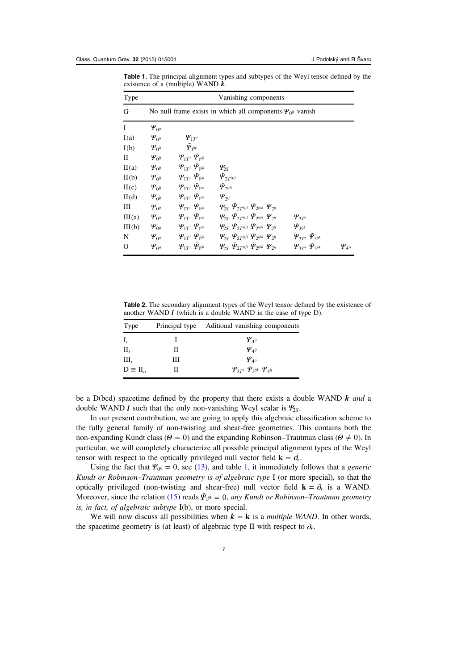<span id="page-7-0"></span>Table 1. The principal alignment types and subtypes of the Weyl tensor defined by the existence of a (multiple) WAND *k*.

| Type   | Vanishing components                                                               |                                                                                   |                                                                                                            |                                      |               |  |
|--------|------------------------------------------------------------------------------------|-----------------------------------------------------------------------------------|------------------------------------------------------------------------------------------------------------|--------------------------------------|---------------|--|
| G      | No null frame exists in which all components $\Psi_{0}$ <sup><i>i</i></sup> vanish |                                                                                   |                                                                                                            |                                      |               |  |
| I      | $\Psi_{0^{ij}}$                                                                    |                                                                                   |                                                                                                            |                                      |               |  |
| I(a)   | $\Psi_{0^{ij}}$                                                                    | $\Psi_{1T}$                                                                       |                                                                                                            |                                      |               |  |
| I(b)   | $\Psi_{0^{ij}}$                                                                    | $\tilde{\bm{\varPsi}}_{\text{l}}$ ijk                                             |                                                                                                            |                                      |               |  |
| П      | $\Psi_{0^{ij}}$                                                                    | $\boldsymbol{\varPsi}_{1T^i} \ \tilde{\boldsymbol{\varPsi}}_{1^{ijk}}$            |                                                                                                            |                                      |               |  |
| II(a)  | $\Psi_{0^{ij}}$                                                                    | $\boldsymbol{\varPsi}_{1T^i} \ \tilde{\boldsymbol{\varPsi}}_{1^{ijk}}$            | $\Psi_{2S}$                                                                                                |                                      |               |  |
| II(b)  | $\Psi_{0^{ij}}$                                                                    | $\pmb{\varPsi}_{1T^i} \,\, \pmb{\tilde{\varPsi}}_{\mathfrak{f}^{ijk}}$            | $\tilde{\mathbf{\Psi}}_{2T^{(ij)}}$                                                                        |                                      |               |  |
| II(c)  | $\Psi_{0^{ij}}$                                                                    | $\varPsi_{1T^i} \varPsi_{1^{ijk}}$                                                | $\tilde{\mathcal{Y}}_{2^{ijkl}}$                                                                           |                                      |               |  |
| II(d)  | $\Psi_{0^{ij}}$                                                                    | $\boldsymbol{\varPsi}_{1T^i} \ \tilde{\boldsymbol{\varPsi}}_{\mathfrak{f}^{ijk}}$ | $\Psi$ <sub>2ij</sub>                                                                                      |                                      |               |  |
| Ш      | $\Psi_{0^{ij}}$                                                                    | $\boldsymbol{\varPsi}_{1T^i} \; \tilde{\boldsymbol{\varPsi}}_{1^{ijk}}$           | $\mathfrak{P}_{2S}$ $\tilde{\mathfrak{P}}_{2T}$ (ij) $\tilde{\mathfrak{P}}_{2}$ ijkl $\mathfrak{P}_{2}$ ij |                                      |               |  |
| III(a) | $\Psi_{0^{ij}}$                                                                    | $\boldsymbol{\varPsi}_{1T^i} \; \tilde{\boldsymbol{\varPsi}}_{\mathbf{i}^{ijk}}$  | $\psi_{2S}$ $\tilde{\psi}_{2T}$ (ij) $\tilde{\psi}_{2}$ ijkl $\psi_{2}$ ij                                 | $\Psi_{3Ti}$                         |               |  |
| III(b) | $\Psi_{0^{ij}}$                                                                    | $\pmb{\varPsi}_{1T^i} \,\, \pmb{\tilde{\varPsi}}_{\pmb{i}^{ijk}}$                 | $\mathcal{Y}_{2S}$ $\bar{\mathcal{Y}}_{2T}$ (ij) $\bar{\mathcal{Y}}_{2}$ ijkl $\mathcal{Y}_{2}$ ij         | $\tilde{\Psi}_{3}$ ijk               |               |  |
| N      | $\Psi_{0^{ij}}$                                                                    | $\bm{\varPsi}_{1T^i} \; \tilde{\bm{\varPsi}}_{\text{I}}$ ijk                      | $\varphi_{2S}$ $\tilde{\varphi}_{2T^{(ij)}}$ $\tilde{\varphi}_{2^{ijkl}}$ $\varphi_{2^{ij}}$               | $\Psi_{3T}$ i $\tilde{\Psi}_{3ijk}$  |               |  |
| 0      | $\Psi_{0^{ij}}$                                                                    | $\boldsymbol{\varPsi}_{1T^i} \ \boldsymbol{\varPsi}_{1}$ ijk                      | $\mathcal{Y}_{2S}$ $\tilde{\mathcal{Y}}_{2T}$ (ij) $\tilde{\mathcal{Y}}_{2}$ ijkl $\mathcal{Y}_{2}$ ij     | $\Psi_{3T}$ i $\tilde{\Psi}_{3}$ ijk | $\Psi_{4}$ ij |  |

Table 2. The secondary alignment types of the Weyl tensor defined by the existence of another WAND *l* (which is a double WAND in the case of type D).

| Type                |   | Principal type Aditional vanishing components      |
|---------------------|---|----------------------------------------------------|
| $I_i$               |   | $\Psi_{4}$ ij                                      |
| $\prod_i$           | Н | $\Psi_{4^{ij}}$                                    |
| $\text{III}_i$      | Ш | $\Psi_{\scriptscriptstyle{\mathcal{A}}^{ij}}$      |
| $D \equiv \Pi_{ii}$ | Н | $\Psi_{3T}$ i $\tilde{\Psi}_{3}$ ijk $\Psi_{4}$ ij |

be a D(bcd) spacetime defined by the property that there exists a double WAND *k* and a double WAND *l* such that the only non-vanishing Weyl scalar is *Ψ*2*S*.

In our present contribution, we are going to apply this algebraic classification scheme to the fully general family of non-twisting and shear-free geometries. This contains both the non-expanding Kundt class ( $\Theta = 0$ ) and the expanding Robinson–Trautman class ( $\Theta \neq 0$ ). In particular, we will completely characterize all possible principal alignment types of the Weyl tensor with respect to the optically privileged null vector field  $\mathbf{k} = \partial_r$ .

Using the fact that  $\Psi_{0} = 0$ , see ([13\)](#page-4-0), and table 1, it immediately follows that a *generic* Kundt or Robinson–Trautman geometry is of algebraic type I (or more special), so that the optically privileged (non-twisting and shear-free) null vector field  $\mathbf{k} = \partial_r$  is a WAND. Moreover, since the relation [\(15](#page-4-0)) reads  $\tilde{\Psi}_{\mathbf{i}^{ijk}} = 0$ , any Kundt or Robinson–Trautman geometry is, in fact, of algebraic subtype I(b), or more special.

We will now discuss all possibilities when  $k = k$  is a *multiple WAND*. In other words, the spacetime geometry is (at least) of algebraic type II with respect to  $\partial_r$ .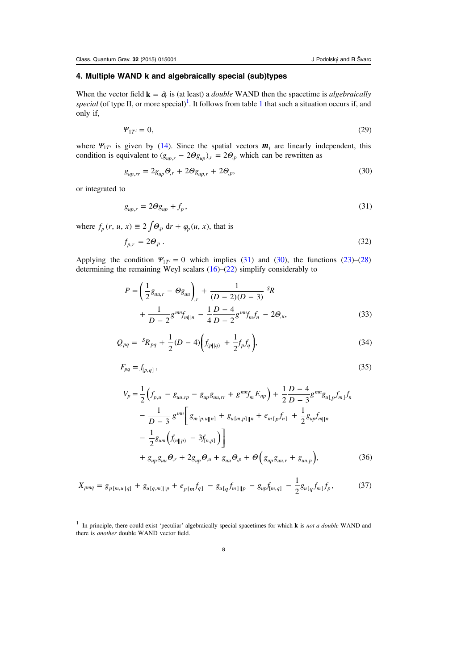## <span id="page-8-0"></span>4. Multiple WAND k and algebraically special (sub)types

When the vector field  $\mathbf{k} = \partial_r$  is (at least) a *double* WAND then the spacetime is *algebraically* special (of type II, or more special)<sup>[1](#page-7-0)</sup>. It follows from table 1 that such a situation occurs if, and only if,

$$
\Psi_{1T} = 0,\tag{29}
$$

where  $\Psi_{1T}$ <sup>*i*</sup> is given by [\(14](#page-4-0)). Since the spatial vectors  $m_i$  are linearly independent, this condition is equivalent to  $(g_{up,r} - 2\Theta g_{up})$ ,  $r = 2\Theta_p$ , which can be rewritten as

$$
g_{up,rr} = 2g_{up}\Theta_r + 2\Theta g_{up,r} + 2\Theta_{,p},\tag{30}
$$

or integrated to

$$
g_{\mu p,r} = 2\Theta g_{\mu p} + f_p,\tag{31}
$$

where  $f_p(r, u, x) \equiv 2 \int \Theta_p dr + \varphi_p(u, x)$ , that is

$$
f_{p,r} = 2\Theta_p \,. \tag{32}
$$

Applying the condition  $\Psi_{1T} = 0$  which implies (31) and (30), the functions ([23\)](#page-5-0)–[\(28](#page-6-0)) determining the remaining Weyl scalars [\(16](#page-5-0))–([22](#page-5-0)) simplify considerably to

$$
P = \left(\frac{1}{2}g_{uu,r} - \Theta g_{uu}\right)_{,r} + \frac{1}{(D-2)(D-3)}{}^{S}R + \frac{1}{D-2}g^{mn}f_{m||n} - \frac{1}{4}\frac{D-4}{D-2}g^{mn}f_{m}f_{n} - 2\Theta_{,u},
$$
\n(33)

$$
Q_{pq} = {}^{S}R_{pq} + \frac{1}{2}(D - 4)\bigg(f_{(p||q)} + \frac{1}{2}f_p f_q\bigg),\tag{34}
$$

$$
F_{pq} = f_{[p,q]},\tag{35}
$$

$$
V_p = \frac{1}{2} \left( f_{p,u} - g_{uu,rp} - g_{up}g_{uu,rr} + g^{mn}f_m E_{np} \right) + \frac{1}{2} \frac{D - 4}{D - 3} g^{mn} g_{u[p} f_{m]} f_n
$$
  

$$
- \frac{1}{D - 3} g^{mn} \left[ g_{m[p,u]|n]} + g_{u[m,p]||n} + e_{m[p} f_{n]} + \frac{1}{2} g_{up} f_{m]|n} \right.
$$
  

$$
- \frac{1}{2} g_{um} \left( f_{(n||p)} - 3 f_{[n,p]} \right) \right]
$$
  

$$
+ g_{up} g_{uu} \Theta_r + 2 g_{up} \Theta_u + g_{uu} \Theta_p + \Theta \left( g_{up} g_{uu,r} + g_{uu,p} \right),
$$
(36)

$$
X_{pmq} = g_{p[m,u||q]} + g_{u[q,m]||p} + e_{p[m}f_{q]} - g_{u[q}f_{m]||p} - g_{up}f_{[m,q]} - \frac{1}{2}g_{u[q}f_{m]}f_{p},
$$
(37)

<sup>1</sup> In principle, there could exist 'peculiar' algebraically special spacetimes for which **k** is not a double WAND and there is another double WAND vector field.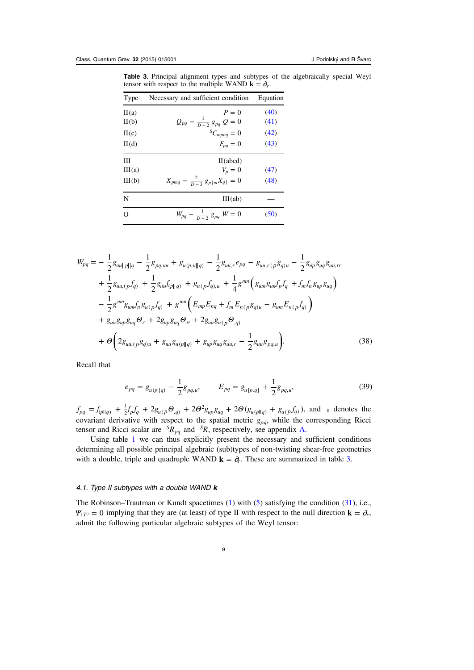<span id="page-9-0"></span>Table 3. Principal alignment types and subtypes of the algebraically special Weyl tensor with respect to the multiple WAND  $\mathbf{k} = \partial_r$ .

| Type   | Necessary and sufficient condition           | Equation |
|--------|----------------------------------------------|----------|
| II(a)  | $P=0$                                        | (40)     |
| II(b)  | $Q_{pq} - \frac{1}{D-2} g_{pq} Q = 0$        | (41)     |
| H(c)   | ${}^S C_{mpnq} = 0$                          | (42)     |
| II(d)  | $F_{pq}=0$                                   | (43)     |
| Ш      | II(abcd)                                     |          |
| III(a) | $V_p = 0$                                    | (47)     |
| III(b) | $X_{pmq} - \frac{2}{D-3} g_{p[m} X_{q]} = 0$ | (48)     |
| N      | III(ab)                                      |          |
| O      | $W_{pq} - \frac{1}{D-2} g_{pq} W = 0$        | (50)     |

$$
W_{pq} = -\frac{1}{2}g_{ud||p||q} - \frac{1}{2}g_{pq,uu} + g_{u(p,u||q)} - \frac{1}{2}g_{uu,r}e_{pq} - g_{uu,r(p}g_{q)u} - \frac{1}{2}g_{up}g_{uq}g_{uu,rr}
$$
  
+ 
$$
\frac{1}{2}g_{uu,(p}f_{q)} + \frac{1}{2}g_{uu}f_{(p||q)} + g_{u(p}f_{q),u} + \frac{1}{4}g^{mn}\left(g_{um}g_{un}f_{p}f_{q} + f_{m}f_{n}g_{up}g_{ua}\right)
$$
  
- 
$$
\frac{1}{2}g^{mn}g_{um}f_{n}g_{u(p}f_{q)} + g^{mn}\left(E_{mp}E_{nq} + f_{m}E_{n(p}g_{q)u} - g_{um}E_{n(p}f_{q})\right)
$$
  
+ 
$$
g_{uu}g_{up}g_{uq}\Theta_{,r} + 2g_{up}g_{uq}\Theta_{,u} + 2g_{uu}g_{u(p}\Theta_{,q)}
$$
  
+ 
$$
\Theta\left(2g_{uu,(p}g_{q)u} + g_{uu}g_{u(p||q)} + g_{up}g_{uq}g_{uu,r} - \frac{1}{2}g_{uu}g_{pq,u}\right).
$$
(38)

Recall that

$$
e_{pq} = g_{u(p||q)} - \frac{1}{2}g_{pq,u}, \qquad E_{pq} = g_{u[p,q]} + \frac{1}{2}g_{pq,u}, \qquad (39)
$$

 $f_{pq} = f_{(p||q)} + \frac{1}{2} f_p f_q + 2 g_{u(p)} \Theta_{q} + 2 \Theta^2 g_{up} g_{uq} + 2 \Theta(g_{u(p||q)} + g_{u(p} f_q))$ , and  $\parallel$  denotes the covariant derivative with respect to the spatial metric  $g_{pq}$ , while the corresponding Ricci tensor and Ricci scalar are  ${}^S R_{pq}$  and  ${}^S R$ , respectively, see appendix [A](#page-26-0).

Using table [1](#page-7-0) we can thus explicitly present the necessary and sufficient conditions determining all possible principal algebraic (sub)types of non-twisting shear-free geometries with a double, triple and quadruple WAND  $\mathbf{k} = \partial_r$ . These are summarized in table 3.

# 4.1. Type II subtypes with a double WAND  $k$

The Robinson–Trautman or Kundt spacetimes ([1\)](#page-3-0) with ([5\)](#page-3-0) satisfying the condition ([31\)](#page-8-0), i.e.,  $\Psi_{1T}$  = 0 implying that they are (at least) of type II with respect to the null direction **k** =  $\partial_r$ , admit the following particular algebraic subtypes of the Weyl tensor: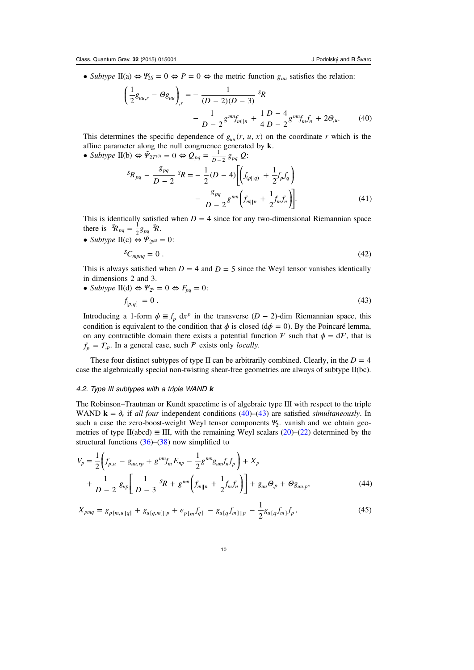<span id="page-10-0"></span>• Subtype II(a)  $\Leftrightarrow \Psi_{2S} = 0 \Leftrightarrow P = 0 \Leftrightarrow$  the metric function  $g_{uu}$  satisfies the relation:

$$
\left(\frac{1}{2}g_{uu,r} - \Theta g_{uu}\right)_{,r} = -\frac{1}{(D-2)(D-3)}s_R
$$

$$
-\frac{1}{D-2}g^{mn}f_{m||n} + \frac{1}{4}\frac{D-4}{D-2}g^{mn}f_{m}f_{n} + 2\Theta_{,u}.
$$
 (40)

This determines the specific dependence of  $g_{uu}(r, u, x)$  on the coordinate r which is the affine parameter along the null congruence generated by **k**.

• Subtype II(b)  $\Leftrightarrow \tilde{\Psi}_{2T^{(ij)}} = 0 \Leftrightarrow Q_{pq} = \frac{1}{p-2} g_{pq} Q$ :

$$
{}^{S}R_{pq} - \frac{g_{pq}}{D-2} {}^{S}R = -\frac{1}{2}(D-4)\left[\left(f_{(p||q)} + \frac{1}{2}f_p f_q\right) - \frac{g_{pq}}{D-2}g^{mn}\left(f_{m||n} + \frac{1}{2}f_m f_n\right)\right].
$$
\n(41)

This is identically satisfied when  $D = 4$  since for any two-dimensional Riemannian space there is  ${}^S\!R_{pq} = \frac{1}{2}g_{pq}$   ${}^S\!R$ .

• Subtype  $\Pi(c) \Leftrightarrow \tilde{\Psi}_{2^{ijkl}} = 0$ :  ${}^S C_{mpnq} = 0$ . (42)

This is always satisfied when  $D = 4$  and  $D = 5$  since the Weyl tensor vanishes identically in dimensions 2 and 3.

• Subtype II(d)  $\Leftrightarrow \Psi_{2^{ij}} = 0 \Leftrightarrow F_{pq} = 0$ :  $f_{[p,q]} = 0$ . (43)

Introducing a 1-form  $\phi \equiv f_p \, dx^p$  in the transverse  $(D-2)$ -dim Riemannian space, this condition is equivalent to the condition that  $\phi$  is closed ( $d\phi = 0$ ). By the Poincaré lemma, on any contractible domain there exists a potential function  $\mathcal F$  such that  $\phi = d\mathcal F$ , that is  $f_p = F_p$ . In a general case, such F exists only *locally*.

These four distinct subtypes of type II can be arbitrarily combined. Clearly, in the  $D = 4$ case the algebraically special non-twisting shear-free geometries are always of subtype II(bc).

# 4.2. Type III subtypes with a triple WAND  $\boldsymbol{k}$

The Robinson–Trautman or Kundt spacetime is of algebraic type III with respect to the triple WAND  $\mathbf{k} = \partial_r$  if all four independent conditions (40)–(43) are satisfied *simultaneously*. In such a case the zero-boost-weight Weyl tensor components *Ψ*<sub>2</sub>... vanish and we obtain geometries of type II(abcd)  $\equiv$  III, with the remaining Weyl scalars ([20\)](#page-5-0)–[\(22](#page-5-0)) determined by the structural functions  $(36)$  $(36)$ – $(38)$  $(38)$  now simplified to

$$
V_p = \frac{1}{2} \left( f_{p,u} - g_{uu,rp} + g^{mn} f_m E_{np} - \frac{1}{2} g^{mn} g_{um} f_n f_p \right) + X_p
$$
  
+ 
$$
\frac{1}{D-2} g_{up} \left[ \frac{1}{D-3} S_R + g^{mn} \left( f_{m||n} + \frac{1}{2} f_m f_n \right) \right] + g_{uu} \Theta_p + \Theta g_{uu,p}, \tag{44}
$$

$$
X_{pmq} = g_{p[m,u][q]} + g_{u[q,m][p]} + e_{p[m]}f_{q]} - g_{u[q]}f_{m][p} - \frac{1}{2}g_{u[q]}f_{m]}f_{p},
$$
\n(45)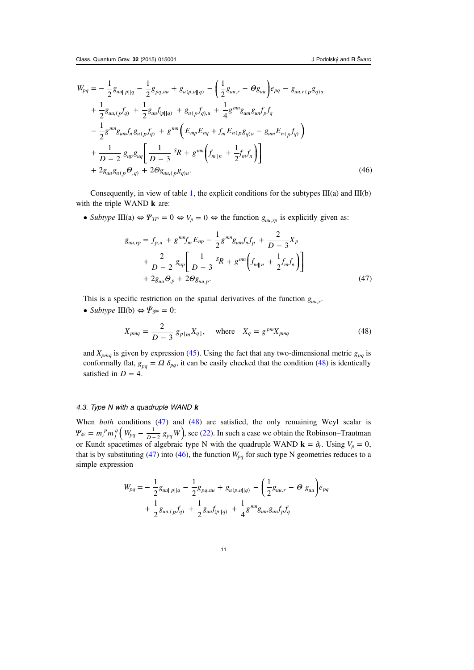<span id="page-11-0"></span>
$$
W_{pq} = -\frac{1}{2}g_{uu||p||q} - \frac{1}{2}g_{pq,uu} + g_{u(p,u||q)} - \left(\frac{1}{2}g_{uu,r} - \Theta g_{uu}\right)e_{pq} - g_{uu,r(p}g_{q)u}
$$
  
+  $\frac{1}{2}g_{uu,(p}f_{q)} + \frac{1}{2}g_{uu}f_{(p||q)} + g_{u(p}f_{q),u} + \frac{1}{4}g^{mn}g_{um}g_{un}f_{p}f_{q}$   
-  $\frac{1}{2}g^{mn}g_{um}f_{n}g_{u(p}f_{q)} + g^{mn}\left(E_{mp}E_{nq} + f_{m}E_{n(p}g_{q)u} - g_{um}E_{n(p}f_{q})\right)$   
+  $\frac{1}{D-2}g_{up}g_{ua}\left[\frac{1}{D-3}S_{R} + g^{mn}\left(f_{m||n} + \frac{1}{2}f_{m}f_{n}\right)\right]$   
+  $2g_{uu}g_{u(p}\Theta_{,q)} + 2\Theta g_{uu,(p}g_{q)u}.$  (46)

Consequently, in view of table [1](#page-7-0), the explicit conditions for the subtypes  $III(a)$  and  $III(b)$ with the triple WAND **k** are:

• Subtype III(a)  $\Leftrightarrow \Psi_{3T} = 0 \Leftrightarrow V_p = 0 \Leftrightarrow$  the function  $g_{u u, r p}$  is explicitly given as:

$$
g_{uu,rp} = f_{p,u} + g^{mn} f_m E_{np} - \frac{1}{2} g^{mn} g_{um} f_n f_p + \frac{2}{D-3} X_p
$$
  
+ 
$$
\frac{2}{D-2} g_{up} \left[ \frac{1}{D-3} sR + g^{mn} \left( f_{m||n} + \frac{1}{2} f_m f_n \right) \right]
$$
  
+ 
$$
2g_{uu} \Theta_p + 2\Theta g_{uu,p}.
$$
 (47)

This is a specific restriction on the spatial derivatives of the function  $g_{uu,r}$ .

• Subtype III(b)  $\Leftrightarrow \tilde{\Psi}_{3^{ijk}} = 0$ :

$$
X_{pmq} = \frac{2}{D-3} g_{p[m} X_{q]}, \quad \text{where} \quad X_q = g^{pm} X_{pmq}
$$
 (48)

and  $X_{pmq}$  is given by expression [\(45](#page-10-0)). Using the fact that any two-dimensional metric  $g_{pq}$  is conformally flat,  $g_{pq} = \Omega \delta_{pq}$ , it can be easily checked that the condition (48) is identically satisfied in  $D = 4$ .

## 4.3. Type N with a quadruple WAND  $k$

When *both* conditions (47) and (48) are satisfied, the only remaining Weyl scalar is  $\Psi_{4} = m_i^p m_j^q (W_{pq} - \frac{1}{D-2} g_{pq} W)$ , see [\(22](#page-5-0)). In such a case we obtain the Robinson–Trautman or Kundt spacetimes of algebraic type N with the quadruple WAND  $\mathbf{k} = \partial_r$ . Using  $V_p = 0$ , that is by substituting (47) into (46), the function  $W_{pq}$  for such type N geometries reduces to a simple expression

$$
W_{pq} = -\frac{1}{2}g_{uu||p||q} - \frac{1}{2}g_{pq,uu} + g_{u(p,u||q)} - \left(\frac{1}{2}g_{uu,r} - \Theta g_{uu}\right)e_{pq} + \frac{1}{2}g_{uu,(p}f_{q)} + \frac{1}{2}g_{uu}f_{(p||q)} + \frac{1}{4}g^{mn}g_{um}g_{un}f_{p}f_{q}
$$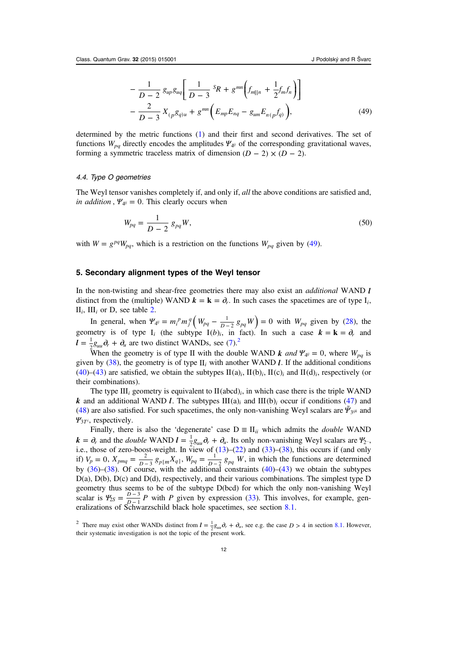$$
-\frac{1}{D-2} g_{up} g_{uq} \left[ \frac{1}{D-3} {}^{S}R + g^{mn} \left( f_{m||n} + \frac{1}{2} f_m f_n \right) \right] - \frac{2}{D-3} X_{(p} g_{q)u} + g^{mn} \left( E_{mp} E_{nq} - g_{um} E_{n(p} f_{q)} \right), \tag{49}
$$

<span id="page-12-0"></span>determined by the metric functions ([1\)](#page-3-0) and their first and second derivatives. The set of functions  $W_{pq}$  directly encodes the amplitudes  $\Psi_{\psi}$  of the corresponding gravitational waves, forming a symmetric traceless matrix of dimension  $(D - 2) \times (D - 2)$ .

#### 4.4. Type O geometries

The Weyl tensor vanishes completely if, and only if, all the above conditions are satisfied and, *in addition*,  $\Psi_{4} = 0$ . This clearly occurs when

$$
W_{pq} = \frac{1}{D - 2} g_{pq} W,
$$
\n(50)

with  $W = g^{pq}W_{pq}$ , which is a restriction on the functions  $W_{pq}$  given by (49).

#### 5. Secondary alignment types of the Weyl tensor

In the non-twisting and shear-free geometries there may also exist an additional WAND *l* distinct from the (multiple) WAND  $\mathbf{k} = \mathbf{k} = \partial_r$ . In such cases the spacetimes are of type  $I_i$ ,  $II_i$ ,  $III_i$  or D, see table [2.](#page-3-0)

In general, when  $\Psi_{\dot q\dot v} = m_i^p m_j^q \left( W_{pq} - \frac{1}{D-2} g_{pq} W \right) = 0$  with  $W_{pq}$  given by [\(28\)](#page-6-0), the geometry is of type  $I_i$  (the subtype  $I(b)_i$ , in fact). In such a case  $k = k = \partial_r$  and  $l = \frac{1}{2}g_{uu}\partial_r + \partial_u$  are two distinct WANDs, see ([7\)](#page-4-0).<sup>2</sup>

When the geometry is of type II with the double WAND *k* and  $\Psi_{\psi} = 0$ , where  $W_{pq}$  is given by  $(38)$  $(38)$ , the geometry is of type  $II_i$  with another WAND *l*. If the additional conditions ([40\)](#page-10-0)–[\(43](#page-10-0)) are satisfied, we obtain the subtypes  $\text{II}(a)_i$ ,  $\text{II}(b)_i$ ,  $\text{II}(c)_i$  and  $\text{II}(d)_i$ , respectively (or their combinations).

The type III<sub>*i*</sub> geometry is equivalent to II(abcd)<sub>*i*</sub>, in which case there is the triple WAND *k* and an additional WAND *l*. The subtypes  $III(a)_i$  and  $III(b)_i$  occur if conditions [\(47](#page-11-0)) and ([48\)](#page-11-0) are also satisfied. For such spacetimes, the only non-vanishing Weyl scalars are  $\tilde{\mathbf{Y}}_{3^{ijk}}$  and *Ψ*3*T<sup>i</sup>*, respectively.

Finally, there is also the 'degenerate' case  $D \equiv \Pi_{ii}$  which admits the *double* WAND  $k = \partial_r$  and the *double* WAND  $l = \frac{1}{2} g_{uu} \partial_r + \partial_u$ . Its only non-vanishing Weyl scalars are  $\mathcal{Y}_2$ . i.e., those of zero-boost-weight. In view of  $(13)$  $(13)$ – $(22)$  $(22)$  and  $(33)$  $(33)$  $(33)$ – $(38)$  $(38)$ , this occurs if (and only if)  $V_p = 0$ ,  $X_{pmq} = \frac{2}{D-3} g_{p[m} X_{q]}, W_{pq} = \frac{1}{D-2} g_{pq} W$ , in which the functions are determined by  $(36)$  $(36)$ – $(38)$  $(38)$ . Of course, with the additional constraints  $(40)$  $(40)$ – $(43)$  $(43)$  we obtain the subtypes D(a), D(b), D(c) and D(d), respectively, and their various combinations. The simplest type D geometry thus seems to be of the subtype D(bcd) for which the only non-vanishing Weyl scalar is  $\mathcal{Y}_{2S} = \frac{D-3}{D-1}P$  with P given by expression ([33\)](#page-8-0). This involves, for example, generalizations of Schwarzschild black hole spacetimes, see section [8.1](#page-21-0).

<sup>&</sup>lt;sup>2</sup> There may exist other WANDs distinct from  $l = \frac{1}{2}g_{uu}\partial_r + \partial_u$ , see e.g. the case  $D > 4$  in section [8.1.](#page-21-0) However, their systematic investigation is not the topic of the present work.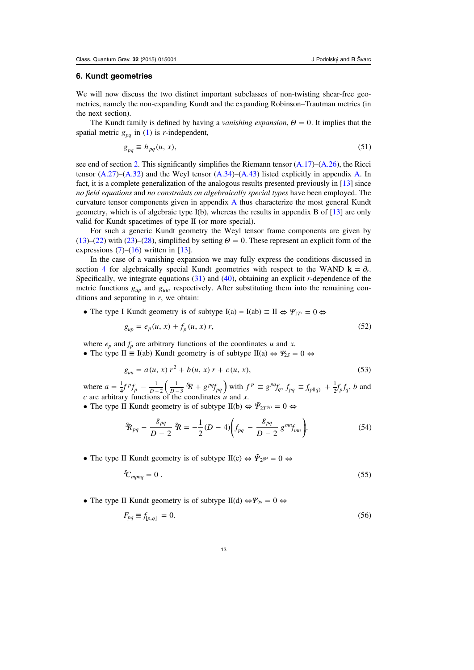#### <span id="page-13-0"></span>6. Kundt geometries

We will now discuss the two distinct important subclasses of non-twisting shear-free geometries, namely the non-expanding Kundt and the expanding Robinson–Trautman metrics (in the next section).

The Kundt family is defined by having a vanishing expansion, *Θ* = 0. It implies that the spatial metric  $g_{pq}$  in ([1\)](#page-3-0) is *r*-independent,

$$
g_{pq} \equiv h_{pq}(u, x),\tag{51}
$$

see end of section [2](#page-3-0). This significantly simplifies the Riemann tensor  $(A.17)$ – $(A.26)$ , the Ricci tensor  $(A.27)$ – $(A.32)$  and the Weyl tensor  $(A.34)$  $(A.34)$ – $(A.43)$  listed explicitly in appendix [A](#page-26-0). In fact, it is a complete generalization of the analogous results presented previously in [\[13](#page-33-0)] since no field equations and no constraints on algebraically special types have been employed. The curvature tensor components given in appendix  $A$  thus characterize the most general Kundt geometry, which is of algebraic type I(b), whereas the results in appendix B of [[13\]](#page-33-0) are only valid for Kundt spacetimes of type II (or more special).

For such a generic Kundt geometry the Weyl tensor frame components are given by ([13\)](#page-4-0)–[\(22](#page-5-0)) with [\(23](#page-5-0))–([28\)](#page-6-0), simplified by setting  $\Theta = 0$ . These represent an explicit form of the expressions  $(7)$  $(7)$ – $(16)$  $(16)$  written in [\[13](#page-33-0)].

In the case of a vanishing expansion we may fully express the conditions discussed in section [4](#page-8-0) for algebraically special Kundt geometries with respect to the WAND  $\mathbf{k} = \partial_r$ . Specifically, we integrate equations  $(31)$  $(31)$  and  $(40)$  $(40)$ , obtaining an explicit r-dependence of the metric functions  $g_{\mu\nu}$  and  $g_{\mu\nu}$ , respectively. After substituting them into the remaining conditions and separating in  $r$ , we obtain:

• The type I Kundt geometry is of subtype  $I(a) = I(ab) \equiv II \Leftrightarrow \Psi_{1T} = 0 \Leftrightarrow$ 

$$
g_{up} = e_p(u, x) + f_p(u, x) r,
$$
\n(52)

where  $e_p$  and  $f_p$  are arbitrary functions of the coordinates u and x.

• The type II  $\equiv$  I(ab) Kundt geometry is of subtype II(a)  $\Leftrightarrow$   $\Psi_{2S} = 0 \Leftrightarrow$ 

$$
g_{uu} = a(u, x) r^2 + b(u, x) r + c(u, x),
$$
\n(53)

where  $a = \frac{1}{4} f^p f_p - \frac{1}{D-2} \left( \frac{1}{D-3} \, ^5 \! R + g^{pq} f_{pq} \right)$ 4 1 2  $\frac{1}{1-3}$   ${}^5R + g^{pq} f_{pq}$  with  $f^p \equiv g^{pq} f_q$ ,  $f_{pq} \equiv f_{(p||q)} + \frac{1}{2} f_p f_q$ , b and  $c$  are arbitrary functions of the coordinates  $u$  and  $x$ .

• The type II Kundt geometry is of subtype II(b)  $\Leftrightarrow \tilde{\Psi}_{2T^{(ij)}} = 0 \Leftrightarrow$ 

$$
{}^S\!R_{pq} - \frac{g_{pq}}{D-2} {}^S\!R = -\frac{1}{2}(D-4)\bigg(f_{pq} - \frac{g_{pq}}{D-2} g^{mn}f_{mn}\bigg). \tag{54}
$$

• The type II Kundt geometry is of subtype II(c)  $\Leftrightarrow \tilde{\Psi}_{2^{ijkl}} = 0 \Leftrightarrow$ 

$$
\mathcal{E}_{\text{mpnq}} = 0 \tag{55}
$$

• The type II Kundt geometry is of subtype II(d)  $\Leftrightarrow \Psi_{2} = 0 \Leftrightarrow$ 

$$
F_{pq} \equiv f_{[p,q]} = 0. \tag{56}
$$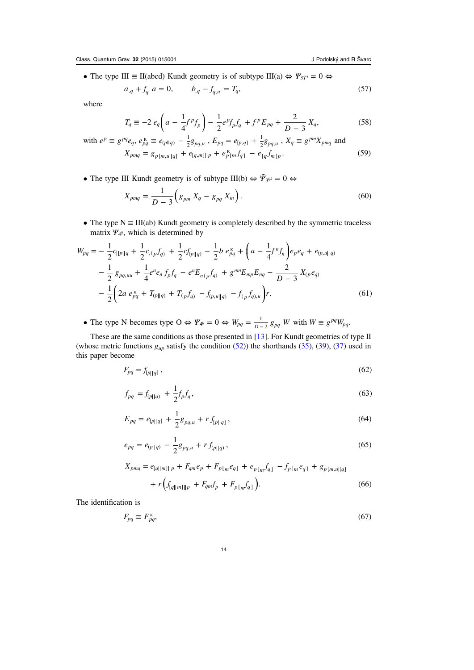• The type III  $\equiv$  II(abcd) Kundt geometry is of subtype III(a)  $\Leftrightarrow$   $\forall y_{3T} = 0 \Leftrightarrow$ 

$$
a_{,q} + f_q \ a = 0, \qquad b_{,q} - f_{q,u} = T_q, \tag{57}
$$

where

$$
T_q \equiv -2 e_q \left( a - \frac{1}{4} f^p f_p \right) - \frac{1}{2} e^p f_p f_q + f^p E_{pq} + \frac{2}{D-3} X_q, \tag{58}
$$

with 
$$
e^p \equiv g^{pq} e_q, e^{\kappa}_{pq} \equiv e_{(p||q)} - \frac{1}{2} g_{pq,u}, E_{pq} = e_{[p,q]} + \frac{1}{2} g_{pq,u}, X_q \equiv g^{pm} X_{pmq}
$$
 and  
\n
$$
X_{pmq} = g_{p[m,u||q]} + e_{[q,m]||p} + e^{\kappa}_{p[m} f_{q]} - e_{[q} f_{m]p}.
$$
\n
$$
(59)
$$

• The type III Kundt geometry is of subtype III(b)  $\Leftrightarrow \tilde{\Psi}_{3^{ijk}} = 0 \Leftrightarrow$ 

$$
X_{pmq} = \frac{1}{D-3} \left( g_{pm} X_q - g_{pq} X_m \right). \tag{60}
$$

• The type  $N \equiv III(ab)$  Kundt geometry is completely described by the symmetric traceless matrix *Ψ*4*ij*, which is determined by

$$
W_{pq} = -\frac{1}{2}c_{\|\rho\|q} + \frac{1}{2}c_{,(p}f_{q)} + \frac{1}{2}cf_{(p\|q)} - \frac{1}{2}b e_{pq}^{K} + \left(a - \frac{1}{4}f^{n}f_{n}\right)e_{p}e_{q} + e_{(p,u\|q)}
$$

$$
-\frac{1}{2}g_{pq,uu} + \frac{1}{4}e^{n}e_{n}f_{p}f_{q} - e^{n}E_{n(p}f_{q)} + g^{mn}E_{mp}E_{nq} - \frac{2}{D-3}X_{(p}e_{q)}
$$

$$
-\frac{1}{2}\left(2a e_{pq}^{K} + T_{(p\|q)} + T_{(p}f_{q)} - f_{(p,u\|q)} - f_{(p}f_{q),u}\right)r.
$$
(61)

• The type N becomes type  $O \Leftrightarrow \Psi_{\mathcal{A}^j} = 0 \Leftrightarrow W_{pq} = \frac{1}{D-2} g_{pq} W$  with  $W \equiv g^{pq} W_{pq}$ .

These are the same conditions as those presented in [\[13](#page-33-0)]. For Kundt geometries of type II (whose metric functions  $g_{\mu p}$  satisfy the condition ([52\)](#page-13-0)) the shorthands [\(35](#page-8-0)), [\(39](#page-9-0)), ([37\)](#page-8-0) used in this paper become

$$
F_{pq} = f_{[p||q]},\tag{62}
$$

$$
f_{pq} = f_{(p||q)} + \frac{1}{2} f_p f_q,
$$
\n(63)

$$
E_{pq} = e_{[p][q]} + \frac{1}{2}g_{pq,u} + r f_{[p][q]},
$$
\n(64)

$$
e_{pq} = e_{(p||q)} - \frac{1}{2}g_{pq,u} + r f_{(p||q)},
$$
\n(65)

$$
X_{pmq} = e_{[q||m]||p} + F_{qm}e_p + F_{p[m}e_{q]} + e_{p[m}f_{q]} - f_{p[m}e_{q]} + g_{p[m,u||q]}
$$

$$
+ r \Big( f_{[q||m]||p} + F_{qm}f_p + F_{p[m}f_{q]} \Big). \tag{66}
$$

The identification is

$$
F_{pq} \equiv F_{pq}^{\kappa},\tag{67}
$$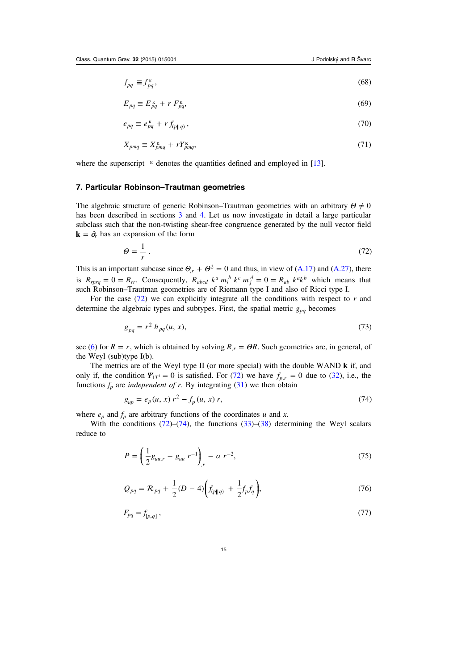<span id="page-15-0"></span>
$$
f_{pq} \equiv f_{pq}^{\kappa},\tag{68}
$$

$$
E_{pq} \equiv E_{pq}^{\kappa} + r F_{pq}^{\kappa},\tag{69}
$$

$$
e_{pq} \equiv e_{pq}^{\kappa} + r f_{(p||q)}, \qquad (70)
$$

$$
X_{pmq} \equiv X_{pmq}^{\kappa} + rY_{pmq}^{\kappa},\tag{71}
$$

where the superscript  $K$  denotes the quantities defined and employed in [\[13](#page-33-0)].

## 7. Particular Robinson–Trautman geometries

The algebraic structure of generic Robinson–Trautman geometries with an arbitrary *Θ* ≠ 0 has been described in sections [3](#page-4-0) and [4](#page-8-0). Let us now investigate in detail a large particular subclass such that the non-twisting shear-free congruence generated by the null vector field  $\mathbf{k} = \partial_r$  has an expansion of the form

$$
\Theta = \frac{1}{r} \tag{72}
$$

This is an important subcase since  $\Theta_r + \Theta^2 = 0$  and thus, in view of ([A.17](#page-26-0)) and ([A.27](#page-27-0)), there is  $R_{rprq} = 0 = R_{rr}$ . Consequently,  $R_{abcd} k^a m_i^b k^c m_j^d = 0 = R_{ab} k^a k^b$  which means that such Robinson–Trautman geometries are of Riemann type I and also of Ricci type I.

For the case  $(72)$  we can explicitly integrate all the conditions with respect to r and determine the algebraic types and subtypes. First, the spatial metric  $g_{pq}$  becomes

$$
g_{pq} = r^2 h_{pq}(u, x),
$$
\n(73)

see ([6\)](#page-3-0) for  $R = r$ , which is obtained by solving  $R_r = \Theta R$ . Such geometries are, in general, of the Weyl (sub)type I(b).

The metrics are of the Weyl type II (or more special) with the double WAND **k** if, and only if, the condition  $\Psi_{1T} = 0$  is satisfied. For (72) we have  $f_{p,r} = 0$  due to ([32\)](#page-8-0), i.e., the functions  $f_p$  are *independent of r*. By integrating [\(31](#page-8-0)) we then obtain

$$
g_{up} = e_p(u, x) r^2 - f_p(u, x) r,
$$
\n(74)

where  $e_p$  and  $f_p$  are arbitrary functions of the coordinates u and x.

With the conditions  $(72)$ – $(74)$ , the functions  $(33)$  $(33)$ – $(38)$  $(38)$  determining the Weyl scalars reduce to

$$
P = \left(\frac{1}{2}g_{uu,r} - g_{uu}r^{-1}\right)_{,r} - \alpha r^{-2},\tag{75}
$$

$$
Q_{pq} = \mathcal{R}_{pq} + \frac{1}{2}(D - 4)\bigg(f_{(p||q)} + \frac{1}{2}f_p f_q\bigg),\tag{76}
$$

$$
F_{pq} = f_{[p,q]},\tag{77}
$$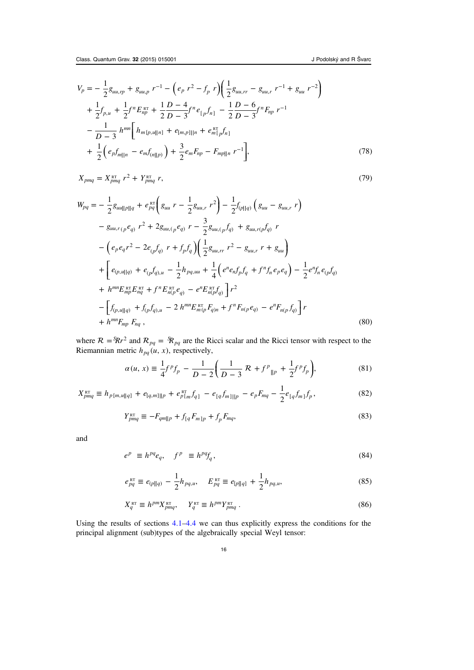<span id="page-16-0"></span>
$$
V_p = -\frac{1}{2}g_{uu,rp} + g_{uu,p}r^{-1} - (e_p r^2 - f_p r)(\frac{1}{2}g_{uu,rr} - g_{uu,r}r^{-1} + g_{uu}r^{-2})
$$
  
+  $\frac{1}{2}f_{p,u} + \frac{1}{2}f^n E_{np}^{RT} + \frac{1}{2}\frac{D-4}{D-3}f^n e_{[p}f_{n]} - \frac{1}{2}\frac{D-6}{D-3}f^n F_{np}r^{-1}$   
-  $\frac{1}{D-3}h^{mn}\Big[h_{m[p,u||n]} + e_{[m,p]||n} + e_{m[p}^{RT}f_{n]}$   
+  $\frac{1}{2}(e_p f_{m||n} - e_m f_{(n||p)}) + \frac{3}{2}e_m F_{np} - F_{mp||n}r^{-1}\Big],$  (78)

$$
X_{pmq} = X_{pmq}^{\text{RT}} r^2 + Y_{pmq}^{\text{RT}} r, \tag{79}
$$

$$
W_{pq} = -\frac{1}{2} g_{uu||p||q} + e_{pq}^{RT} \left( g_{uu} r - \frac{1}{2} g_{uu,r} r^2 \right) - \frac{1}{2} f_{(p||q)} \left( g_{uu} - g_{uu,r} r \right)
$$
  
\n
$$
- g_{uu,r(p} e_{q)} r^2 + 2 g_{uu,(p} e_{q)} r - \frac{3}{2} g_{uu,(p} f_{q)} + g_{uu,r(p} f_{q)} r
$$
  
\n
$$
- \left( e_{p} e_{q} r^2 - 2 e_{(p} f_{q)} r + f_{p} f_{q} \right) \left( \frac{1}{2} g_{uu,rr} r^2 - g_{uu,r} r + g_{uu} \right)
$$
  
\n
$$
+ \left[ e_{(p,u||q)} + e_{(p} f_{q),u} - \frac{1}{2} h_{pq,uu} + \frac{1}{4} \left( e^{n} e_{n} f_{p} f_{q} + f^{n} f_{n} e_{p} e_{q} \right) - \frac{1}{2} e^{n} f_{n} e_{(p} f_{q)}
$$
  
\n
$$
+ h^{mn} E_{np}^{RT} E_{nq}^{RT} + f^{n} E_{n(p}^{RT} e_{q)} - e^{n} E_{n(p}^{RT} f_{q}) \right] r^2
$$
  
\n
$$
- \left[ f_{(p,u||q)} + f_{(p} f_{q),u} - 2 h^{mn} E_{m(p}^{RT} F_{q}) n + f^{n} F_{n(p} e_{q)} - e^{n} F_{n(p} f_{q}) \right] r
$$
  
\n
$$
+ h^{mn} F_{mp} F_{nq} ,
$$
  
\n(80)

where  $R = \frac{S}{R}r^2$  and  $R_{pq} = \frac{S}{R}_{pq}$  are the Ricci scalar and the Ricci tensor with respect to the Riemannian metric  $h_{pq}(u, x)$ , respectively,

$$
\alpha(u, x) \equiv \frac{1}{4} f^p f_p - \frac{1}{D - 2} \left( \frac{1}{D - 3} \mathcal{R} + f^p \right|_{|p} + \frac{1}{2} f^p f_p \right),\tag{81}
$$

$$
X_{pmq}^{\text{RT}} \equiv h_{p[m,u||q]} + e_{[q,m]||p} + e_{p[m]}^{\text{RT}} f_{q]} - e_{[q} f_{m]||p} - e_{p} F_{mq} - \frac{1}{2} e_{[q} f_{m]} f_{p}, \qquad (82)
$$

$$
Y_{pmq}^{\text{RT}} \equiv -F_{qm||p} + f_{[q}F_{m]p} + f_p F_{mq},\tag{83}
$$

and

$$
e^p \equiv h^{pq} e_q, \quad f^p \equiv h^{pq} f_q, \tag{84}
$$

$$
e_{pq}^{\text{RT}} \equiv e_{(p||q)} - \frac{1}{2} h_{pq,u}, \quad E_{pq}^{\text{RT}} \equiv e_{[p||q]} + \frac{1}{2} h_{pq,u}, \tag{85}
$$

$$
X_q^{\text{RT}} \equiv h^{pm} X_{pmq}^{\text{RT}}, \quad Y_q^{\text{RT}} \equiv h^{pm} Y_{pmq}^{\text{RT}}.
$$
\n(86)

Using the results of sections [4.1](#page-9-0)–[4.4](#page-12-0) we can thus explicitly express the conditions for the principal alignment (sub)types of the algebraically special Weyl tensor: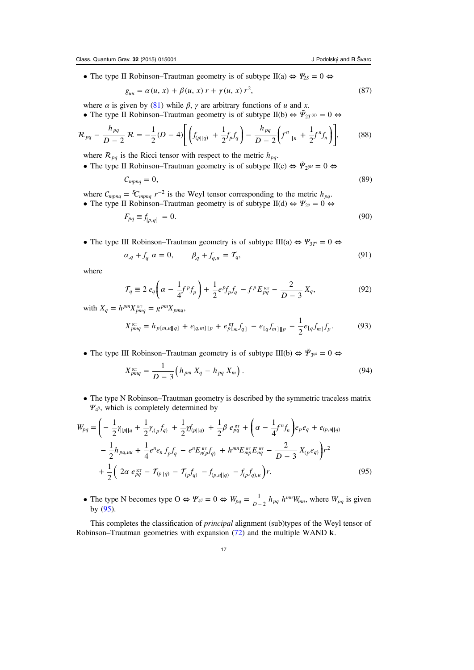<span id="page-17-0"></span>• The type II Robinson–Trautman geometry is of subtype II(a)  $\Leftrightarrow \frac{\Psi_{2S}}{2} = 0 \Leftrightarrow$ 

$$
g_{uu} = \alpha(u, x) + \beta(u, x) r + \gamma(u, x) r^2,
$$
\n(87)

where  $\alpha$  is given by [\(81](#page-16-0)) while  $\beta$ ,  $\gamma$  are arbitrary functions of u and x.

• The type II Robinson–Trautman geometry is of subtype II(b)  $\Leftrightarrow \tilde{\Psi}_{2T^{(ij)}} = 0 \Leftrightarrow$ 

$$
\mathcal{R}_{pq} - \frac{h_{pq}}{D-2} \mathcal{R} = -\frac{1}{2}(D-4) \Bigg[ \Big( f_{(p||q)} + \frac{1}{2} f_p f_q \Big) - \frac{h_{pq}}{D-2} \Big( f^n \Big|_{\parallel n} + \frac{1}{2} f^n f_n \Big) \Bigg],\tag{88}
$$

where  $\mathcal{R}_{pq}$  is the Ricci tensor with respect to the metric  $h_{pq}$ .

• The type II Robinson–Trautman geometry is of subtype II(c)  $\Leftrightarrow \tilde{\Psi}_{2^{ijkl}} = 0 \Leftrightarrow$ 

$$
C_{mpnq} = 0,\t\t(89)
$$

where  $C_{mpnq} = {}^{\circ}\!C_{mpnq} r^{-2}$  is the Weyl tensor corresponding to the metric  $h_{pq}$ .

• The type II Robinson–Trautman geometry is of subtype 
$$
II(d) \Leftrightarrow \Psi_{2^{ij}} = 0 \Leftrightarrow
$$
 $F_{pq} \equiv f_{[p,q]} = 0.$  (90)

• The type III Robinson–Trautman geometry is of subtype III(a) 
$$
\Leftrightarrow
$$
  $\Psi_{3T} = 0 \Leftrightarrow$ 

$$
\alpha_{,q} + f_q \ \alpha = 0, \qquad \beta_{,q} + f_{q,u} = \mathcal{T}_q, \tag{91}
$$

where

$$
\mathcal{T}_q \equiv 2 \, e_q \bigg( \alpha - \frac{1}{4} f^p f_p \bigg) + \frac{1}{2} e^p f_p f_q - f^p E_{pq}^{\text{RT}} - \frac{2}{D-3} X_q, \tag{92}
$$

with  $X_q = h^{pm} X_{pmq}^{\text{RT}} = g^{pm} X_{pmq}$ ,

$$
X_{pmq}^{\text{RT}} = h_{p[m,u||q]} + e_{[q,m]||p} + e_{p[m]}^{\text{RT}} f_{q]} - e_{[q} f_{m]||p} - \frac{1}{2} e_{[q} f_{m]} f_{p}. \tag{93}
$$

• The type III Robinson–Trautman geometry is of subtype III(b)  $\Leftrightarrow \tilde{\Psi}_{3^{ijk}} = 0 \Leftrightarrow$ 

$$
X_{pmq}^{RT} = \frac{1}{D-3} \Big( h_{pm} X_q - h_{pq} X_m \Big) . \tag{94}
$$

• The type N Robinson–Trautman geometry is described by the symmetric traceless matrix *Ψ*4*ij*, which is completely determined by

$$
W_{pq} = \left(-\frac{1}{2}\gamma_{\|p\|q} + \frac{1}{2}\gamma_{\langle p}f_{q\rangle} + \frac{1}{2}\gamma f_{\langle p\|q\rangle} + \frac{1}{2}\beta e_{pq}^{\text{RT}} + \left(\alpha - \frac{1}{4}f^{n}f_{n}\right)e_{p}e_{q} + e_{\langle p,u\|q\rangle} - \frac{1}{2}h_{pq,uu} + \frac{1}{4}e^{n}e_{n}f_{p}f_{q} - e^{n}E_{n\{p\}}^{R}f_{q\rangle} + h^{mn}E_{mp}^{\text{RT}}E_{nq}^{\text{RT}} - \frac{2}{D-3}X_{\langle p}e_{q\rangle}\right)r^{2} + \frac{1}{2}\left(2\alpha e_{pq}^{\text{RT}} - \mathcal{T}_{\langle p\|q\rangle} - \mathcal{T}_{\langle p}f_{q\rangle} - f_{\langle p,u\|q\rangle} - f_{\langle p}f_{q\rangle,u}\right)r.
$$
\n
$$
(95)
$$

• The type N becomes type  $O \Leftrightarrow \Psi_{\psi} = O \Leftrightarrow W_{pq} = \frac{1}{D-2} h_{pq} h^{mn} W_{mn}$ , where  $W_{pq}$  is given by (95).

This completes the classification of principal alignment (sub)types of the Weyl tensor of Robinson–Trautman geometries with expansion [\(72](#page-15-0)) and the multiple WAND **k**.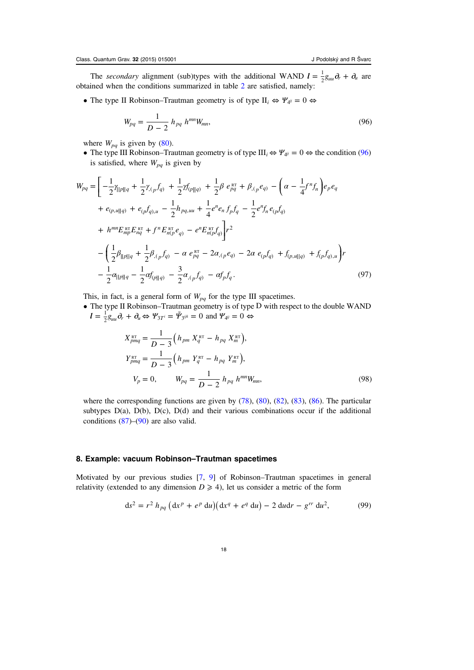<span id="page-18-0"></span>The secondary alignment (sub)types with the additional WAND  $\mathbf{l} = \frac{1}{2} g_{uu} \partial_r + \partial_u$  are obtained when the conditions summarized in table [2](#page-7-0) are satisfied, namely:

• The type II Robinson–Trautman geometry is of type  $II_i \Leftrightarrow \Psi_{\psi} = 0 \Leftrightarrow$ 

$$
W_{pq} = \frac{1}{D-2} h_{pq} h^{mn} W_{mn},
$$
\n(96)

where  $W_{pq}$  is given by ([80\)](#page-16-0).

• The type III Robinson–Trautman geometry is of type  $III_i \Leftrightarrow \Psi_{4^{ij}} = 0 \Leftrightarrow$  the condition (96) is satisfied, where  $W_{pq}$  is given by

$$
W_{pq} = \left[ -\frac{1}{2} \gamma_{||p||q} + \frac{1}{2} \gamma_{,p} f_{q} + \frac{1}{2} \gamma f_{(p||q)} + \frac{1}{2} \beta e_{pq}^{RT} + \beta_{, (p} e_{q)} - \left( \alpha - \frac{1}{4} f^{n} f_{n} \right) e_{p} e_{q} + e_{(p, u||q)} + e_{(p} f_{q), u} - \frac{1}{2} h_{pq, uu} + \frac{1}{4} e^{n} e_{n} f_{p} f_{q} - \frac{1}{2} e^{n} f_{n} e_{(p} f_{q)} + h^{mn} E_{mp}^{RT} E_{pq}^{RT} + f^{n} E_{np}^{RT} e_{q} - e^{n} E_{np}^{RT} f_{q} \right] r^{2} - \left( \frac{1}{2} \beta_{||p||q} + \frac{1}{2} \beta_{, (p} f_{q)} - \alpha e_{pq}^{RT} - 2 \alpha_{, (p} e_{q)} - 2 \alpha e_{(p} f_{q)} + f_{(p, u||q)} + f_{(p} f_{q), u} \right) r - \frac{1}{2} \alpha_{||p||q} - \frac{1}{2} \alpha f_{(p||q)} - \frac{3}{2} \alpha_{, (p} f_{q)} - \alpha f_{p} f_{q}.
$$
\n(97)

This, in fact, is a general form of  $W_{pq}$  for the type III spacetimes.

• The type II Robinson–Trautman geometry is of type D with respect to the double WAND  $l = \frac{1}{2} g_{uu} \partial_r + \partial_u \Leftrightarrow \Psi_{3T^i} = \tilde{\Psi}_{3^{ijk}} = 0$  and  $\Psi_{4^{ij}} = 0 \Leftrightarrow$ 

$$
X_{pmq}^{RT} = \frac{1}{D-3} \left( h_{pm} X_q^{RT} - h_{pq} X_m^{RT} \right),
$$
  
\n
$$
Y_{pmq}^{RT} = \frac{1}{D-3} \left( h_{pm} Y_q^{RT} - h_{pq} Y_m^{RT} \right),
$$
  
\n
$$
V_p = 0, \qquad W_{pq} = \frac{1}{D-2} h_{pq} h^{mn} W_{mn},
$$
\n(98)

where the corresponding functions are given by  $(78)$  $(78)$ ,  $(80)$  $(80)$ ,  $(82)$  $(82)$ ,  $(83)$  $(83)$ ,  $(86)$  $(86)$ . The particular subtypes  $D(a)$ ,  $D(b)$ ,  $D(c)$ ,  $D(d)$  and their various combinations occur if the additional conditions [\(87](#page-17-0))–([90\)](#page-17-0) are also valid.

## 8. Example: vacuum Robinson–Trautman spacetimes

Motivated by our previous studies [[7](#page-33-0), [9\]](#page-33-0) of Robinson–Trautman spacetimes in general relativity (extended to any dimension  $D \ge 4$ ), let us consider a metric of the form

$$
ds^{2} = r^{2} h_{pq} (dx^{p} + e^{p} du)(dx^{q} + e^{q} du) - 2 du dr - g^{rr} du^{2},
$$
 (99)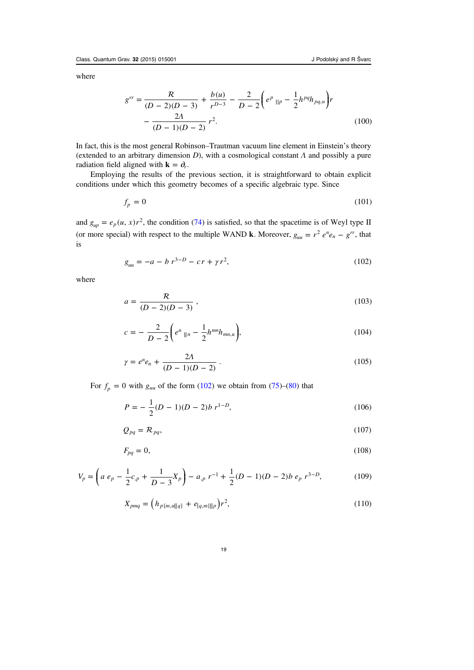<span id="page-19-0"></span>where

$$
g^{rr} = \frac{R}{(D-2)(D-3)} + \frac{b(u)}{r^{D-3}} - \frac{2}{D-2} \left( e^p \right)_{\parallel p} - \frac{1}{2} h^{pq} h_{pq,u} \bigg) r
$$

$$
- \frac{2A}{(D-1)(D-2)} r^2.
$$
(100)

In fact, this is the most general Robinson–Trautman vacuum line element in Einstein's theory (extended to an arbitrary dimension  $D$ ), with a cosmological constant  $\Lambda$  and possibly a pure radiation field aligned with **k** =  $\partial_r$ .

Employing the results of the previous section, it is straightforward to obtain explicit conditions under which this geometry becomes of a specific algebraic type. Since

$$
f_p = 0 \tag{101}
$$

and  $g_{\mu p} = e_p(u, x)r^2$ , the condition ([74\)](#page-15-0) is satisfied, so that the spacetime is of Weyl type II (or more special) with respect to the multiple WAND **k**. Moreover,  $g_{uu} = r^2 e^{n} e_n - g^{rr}$ , that is

$$
g_{uu} = -a - b r^{3-D} - c r + \gamma r^2,
$$
\n(102)

where

$$
a = \frac{R}{(D-2)(D-3)},
$$
\n(103)

$$
c = -\frac{2}{D-2} \bigg( e^n \, \|n - \frac{1}{2} h^{mn} h_{mn,u} \bigg),\tag{104}
$$

$$
\gamma = e^n e_n + \frac{2\Lambda}{(D-1)(D-2)}\,. \tag{105}
$$

For  $f_p = 0$  with  $g_{uu}$  of the form (102) we obtain from [\(75](#page-15-0))–[\(80](#page-16-0)) that

$$
P = -\frac{1}{2}(D - 1)(D - 2)b r^{1 - D},
$$
\n(106)

$$
Q_{pq} = \mathcal{R}_{pq},\tag{107}
$$

$$
F_{pq} = 0,\t\t(108)
$$

$$
V_p = \left( a \, e_p - \frac{1}{2} c_{p} + \frac{1}{D-3} X_p \right) - a_{p} \, r^{-1} + \frac{1}{2} (D-1)(D-2) b \, e_p \, r^{3-D}, \tag{109}
$$

$$
X_{pmq} = \left(h_{p[m,u||q]} + e_{[q,m]||p}\right)r^2,\tag{110}
$$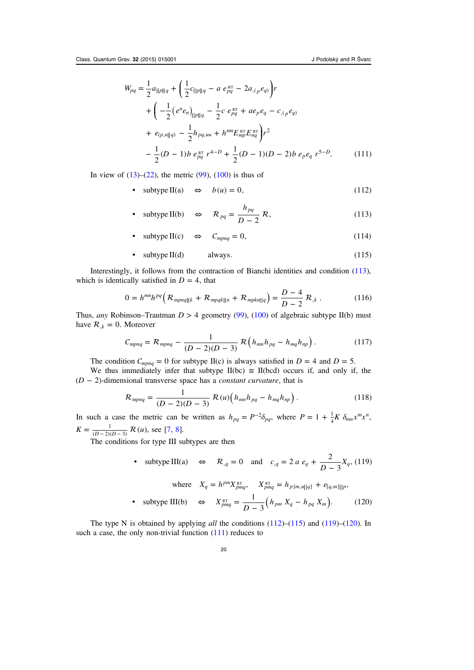<span id="page-20-0"></span>
$$
W_{pq} = \frac{1}{2} a_{\|p\|q} + \left(\frac{1}{2} c_{\|p\|q} - a \, e_{pq}^{RT} - 2 a_{,(p} e_{q)}\right) r
$$
  
+ 
$$
\left(-\frac{1}{2} \left(e^{n} e_{n}\right)_{\|p\|q} - \frac{1}{2} c \, e_{pq}^{RT} + a e_{p} e_{q} - c_{,(p} e_{q)}\right)
$$
  
+ 
$$
e_{(p,u\|q)} - \frac{1}{2} h_{pq,uu} + h^{mn} E_{mp}^{RT} E_{nq}^{RT}\right) r^{2}
$$
  
- 
$$
\frac{1}{2} (D - 1) b \, e_{pq}^{RT} r^{4-D} + \frac{1}{2} (D - 1) (D - 2) b \, e_{p} e_{q} \, r^{5-D}.
$$
 (111)

In view of  $(13)$  $(13)$ – $(22)$  $(22)$ , the metric  $(99)$  $(99)$ ,  $(100)$  $(100)$  is thus of

- subtype II(a)  $\Leftrightarrow$   $b(u) = 0$ , (112)
- $\Leftrightarrow$   $R_{pq} = \frac{pq}{D-2} R$ • subtype II(b)  $\Leftrightarrow \quad \mathcal{R}_{pq} = \frac{h_{pq}}{D-2} \mathcal{R},$  (113)
- $\text{subtype II}(c) \Leftrightarrow C_{\text{mpna}} = 0,$  (114)
- $\text{subtype II(d)}$  always. (115)

Interestingly, it follows from the contraction of Bianchi identities and condition (113), which is identically satisfied in  $D = 4$ , that

$$
0 = h^{mn}h^{pq} \left( \mathcal{R}_{mpnq||k} + \mathcal{R}_{mpqk||n} + \mathcal{R}_{mpkn||q} \right) = \frac{D-4}{D-2} \mathcal{R}_{,k} \ . \tag{116}
$$

Thus, any Robinson–Trautman  $D > 4$  geometry ([99\)](#page-18-0), [\(100](#page-19-0)) of algebraic subtype II(b) must have  $\mathcal{R}_{k} = 0$ . Moreover

$$
C_{mpnq} = \mathcal{R}_{mpnq} - \frac{1}{(D-2)(D-3)} \mathcal{R} \left( h_{mn} h_{pq} - h_{mq} h_{np} \right). \tag{117}
$$

The condition  $C_{mpnq} = 0$  for subtype II(c) is always satisfied in  $D = 4$  and  $D = 5$ .

We thus immediately infer that subtype  $II(bc) \equiv II(bcd)$  occurs if, and only if, the (*D* − 2)-dimensional transverse space has a constant curvature, that is

$$
\mathcal{R}_{mpnq} = \frac{1}{(D-2)(D-3)} \mathcal{R}(u) \Big( h_{mn} h_{pq} - h_{mq} h_{np} \Big) . \tag{118}
$$

In such a case the metric can be written as  $h_{pq} = P^{-2} \delta_{pq}$ , where  $P = 1 + \frac{1}{4} K \delta_{mn} x^m x^n$ ,  $K = \frac{1}{(D-2)(D-3)} R(u)$ , see [[7,](#page-33-0) [8](#page-33-0)].

The conditions for type III subtypes are then

• subtype III(a)  $\Leftrightarrow \mathcal{R}_{,q} = 0$  and  $c_{,q} = 2 a e_q + \frac{2}{D-3} X_q$ , (119)

where 
$$
X_q = h^{pm} X_{pmq}^{RT}
$$
,  $X_{pmq}^{RT} = h_{p[m,u||q]} + e_{[q,m]||p}$ ,  
\n• subtype III(b)  $\Leftrightarrow X_{pmq}^{RT} = \frac{1}{D-3} (h_{pm} X_q - h_{pq} X_m)$ . (120)

The type N is obtained by applying *all* the conditions  $(112)$ – $(115)$  and  $(119)$ – $(120)$ . In such a case, the only non-trivial function  $(111)$  reduces to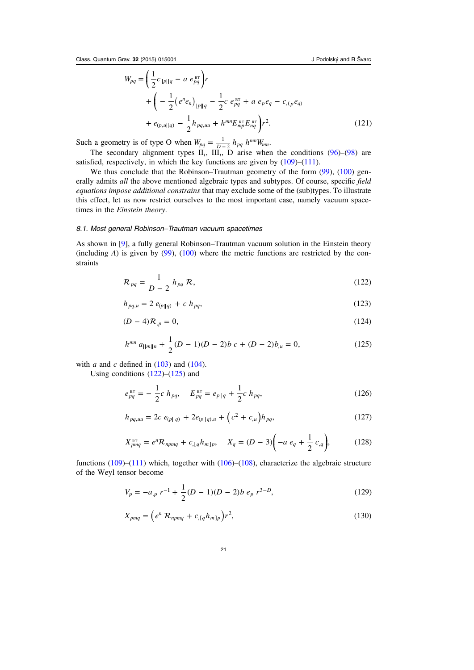<span id="page-21-0"></span>
$$
W_{pq} = \left(\frac{1}{2}c_{\|\rho\|q} - a \, e_{pq}^{\text{RT}}\right) r
$$
  
+ 
$$
\left(-\frac{1}{2}\left(e^n e_n\right)_{\|\rho\|q} - \frac{1}{2}c \, e_{pq}^{\text{RT}} + a \, e_p e_q - c_{, (p} e_q) + e_{(p, u||q)} - \frac{1}{2}h_{pq, uu} + h^{mn} E_{mp}^{\text{RT}} E_{nq}^{\text{RT}}\right) r^2.
$$
 (121)

Such a geometry is of type O when  $W_{pq} = \frac{1}{R-2} h_{pq} h^{mn} W_{mn}$ .

The secondary alignment types  $II_i$ ,  $II_i$ ,  $\overline{D}$  arise when the conditions ([96\)](#page-18-0)–[\(98](#page-18-0)) are satisfied, respectively, in which the key functions are given by  $(109)$  $(109)$ – $(111)$  $(111)$ .

We thus conclude that the Robinson–Trautman geometry of the form [\(99](#page-18-0)), ([100\)](#page-19-0) generally admits all the above mentioned algebraic types and subtypes. Of course, specific field equations impose additional constrains that may exclude some of the (sub)types. To illustrate this effect, let us now restrict ourselves to the most important case, namely vacuum spacetimes in the Einstein theory.

#### 8.1. Most general Robinson–Trautman vacuum spacetimes

As shown in [\[9](#page-33-0)], a fully general Robinson–Trautman vacuum solution in the Einstein theory (including  $\Lambda$ ) is given by ([99\)](#page-18-0), ([100](#page-19-0)) where the metric functions are restricted by the constraints

$$
\mathcal{R}_{pq} = \frac{1}{D-2} h_{pq} \mathcal{R},\tag{122}
$$

$$
h_{pq,u} = 2 e_{(p||q)} + c h_{pq}, \qquad (123)
$$

$$
(D-4)\mathcal{R}_{,p} = 0,\t(124)
$$

$$
h^{mn} a_{\|m\|n} + \frac{1}{2}(D-1)(D-2)b c + (D-2)b_{,u} = 0,
$$
\n(125)

with *a* and *c* defined in  $(103)$  $(103)$  and  $(104)$  $(104)$ . Using conditions  $(122)$ – $(125)$  and

Using continuous 
$$
(122)
$$
– $(123)$  and

$$
e_{pq}^{\text{RT}} = -\frac{1}{2}c h_{pq}, \quad E_{pq}^{\text{RT}} = e_{p||q} + \frac{1}{2}c h_{pq}, \tag{126}
$$

$$
h_{pq,uu} = 2c \ e_{(p||q)} + 2e_{(p||q),u} + (c^2 + c_{,u})h_{pq}, \qquad (127)
$$

$$
X_{pmq}^{\text{RT}} = e^n \mathcal{R}_{npmq} + c_{,[q} h_{m]p}, \quad X_q = (D - 3) \left( -a \, e_q + \frac{1}{2} \, c_{,q} \right), \tag{128}
$$

functions  $(109)$  $(109)$ – $(111)$  $(111)$  which, together with  $(106)$  $(106)$ – $(108)$  $(108)$ , characterize the algebraic structure of the Weyl tensor become

$$
V_p = -a_{,p} r^{-1} + \frac{1}{2} (D - 1)(D - 2)b \, e_p \, r^{3 - D},\tag{129}
$$

$$
X_{pmq} = \left(e^n \mathcal{R}_{npmq} + c_{,[q}h_{m]p}\right) r^2, \tag{130}
$$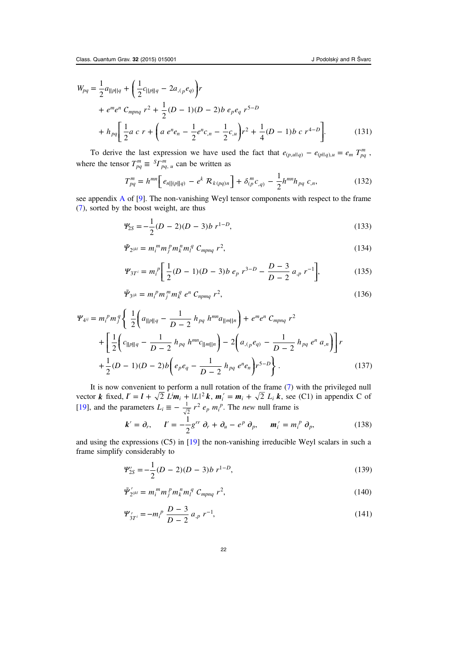<span id="page-22-0"></span>
$$
W_{pq} = \frac{1}{2} a_{\parallel p \parallel q} + \left(\frac{1}{2} c_{\parallel p \parallel q} - 2 a_{,(p} e_{q)}\right) r
$$
  
+  $e^{m} e^{n} C_{mpnq} r^{2} + \frac{1}{2} (D - 1)(D - 2) b e_{p} e_{q} r^{5-D}$   
+  $h_{pq} \left[\frac{1}{2} a c r + \left(a e^{n} e_{n} - \frac{1}{2} e^{n} c_{,n} - \frac{1}{2} c_{,u}\right) r^{2} + \frac{1}{4} (D - 1) b c r^{4-D}\right].$  (131)

To derive the last expression we have used the fact that  $e_{(p,u||q)} - e_{(p||q),u} = e_m T_{pq}^m$ , where the tensor  $T_{pq}^m \equiv {^S}T_{pq,u}^m$  can be written as

$$
T_{pq}^{m} = h^{mn} \Big[ e_{n||p||q} - e^{k} R_{k(pq)n} \Big] + \delta_{(p}^{m} c_{,q)} - \frac{1}{2} h^{mn} h_{pq} c_{,n}, \tag{132}
$$

see appendix [A](#page-26-0) of [\[9](#page-33-0)]. The non-vanishing Weyl tensor components with respect to the frame ([7\)](#page-4-0), sorted by the boost weight, are thus

$$
\mathcal{Y}_{2S} = -\frac{1}{2}(D-2)(D-3)b \ r^{1-D}, \tag{133}
$$

$$
\tilde{\mathbf{\Psi}}_{2^{ijkl}} = m_i^m m_j^m m_k^m m_l^q C_{mpnq} r^2, \qquad (134)
$$

$$
\mathcal{Y}_{3T} = m_i^p \left[ \frac{1}{2} (D - 1)(D - 3) b \, e_p \, r^{3 - D} - \frac{D - 3}{D - 2} \, a_{,p} \, r^{-1} \right],\tag{135}
$$

$$
\tilde{\mathbf{\Psi}}_{3^{ijk}} = m_i^p m_j^m m_k^q e^n C_{npmq} r^2, \qquad (136)
$$

$$
\Psi_{4^{ij}} = m_i^p m_j^q \left\{ \frac{1}{2} \left( a_{\|\rho\|q} - \frac{1}{D-2} h_{pq} h^{mn} a_{\|\eta\|n} \right) + e^m e^n C_{mpnq} r^2 + \left[ \frac{1}{2} \left( c_{\|\rho\|q} - \frac{1}{D-2} h_{pq} h^{mn} c_{\|\eta\|n}\right) - 2 \left( a_{\langle p} e_{q}\right) - \frac{1}{D-2} h_{pq} e^n a_{\eta} \right) \right] r + \frac{1}{2} (D-1)(D-2)b \left( e_p e_q - \frac{1}{D-2} h_{pq} e^n e_n \right) r^{5-D} \right\}.
$$
 (137)

It is now convenient to perform a null rotation of the frame ([7](#page-4-0)) with the privileged null vector *k* fixed,  $l' = l + \sqrt{2} L^i m_i + |L|^2 k$ ,  $m'_i = m_i + \sqrt{2} L_i k$ , see (C1) in appendix C of [[19\]](#page-33-0), and the parameters  $L_i \equiv -\frac{1}{\sqrt{2}} r^2 e_p m_i^p$  $\frac{1}{2}r^2 e_p m_i^p$ . The *new* null frame is

$$
\boldsymbol{k}' = \partial_r, \qquad \boldsymbol{l}' = -\frac{1}{2} g^{rr} \partial_r + \partial_u - e^p \partial_p, \qquad \boldsymbol{m}'_i = m_i^p \partial_p, \tag{138}
$$

and using the expressions (C5) in [[19\]](#page-33-0) the non-vanishing irreducible Weyl scalars in such a frame simplify considerably to

$$
\mathcal{Y}_{2S}' = -\frac{1}{2}(D-2)(D-3)b \ r^{1-D}, \tag{139}
$$

$$
\tilde{\mathbf{\Psi}}_{2^{ijkl}}^{\prime} = m_i^m m_j^p m_k^n m_l^q C_{mpnq} r^2, \qquad (140)
$$

$$
\Psi'_{3T^i} = -m_i^p \frac{D-3}{D-2} a_{,p} r^{-1},\tag{141}
$$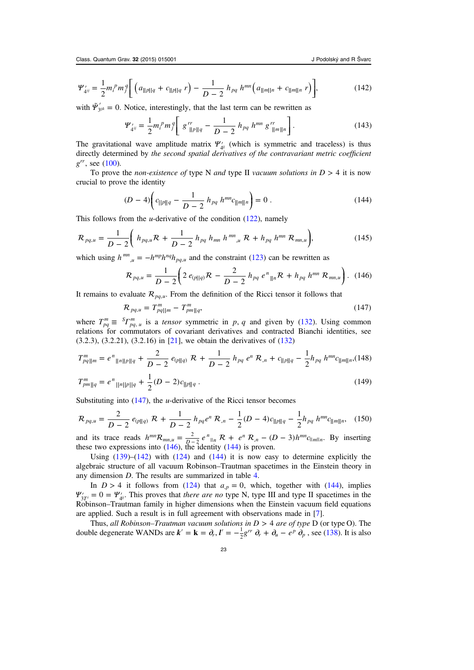$$
\Psi'_{4^{ij}} = \frac{1}{2} m_i^p m_j^q \Bigg[ \left( a_{\|p\|q} + c_{\|p\|q} \ r \right) - \frac{1}{D-2} \ h_{pq} \ h^{mn} \Big( a_{\|m\|n} + c_{\|m\|n} \ r \Big) \Bigg],\tag{142}
$$

with  $\tilde{\Psi}'_{3ijk} = 0$ . Notice, interestingly, that the last term can be rewritten as

$$
\Psi'_{4ij} = \frac{1}{2} m_i^p m_j^q \left[ g''_{\parallel p \parallel q} - \frac{1}{D-2} h_{pq} h^{mn} g''_{\parallel m \parallel n} \right].
$$
 (143)

The gravitational wave amplitude matrix  $\Psi'_{\psi}$  (which is symmetric and traceless) is thus directly determined by the second spatial derivatives of the contravariant metric coefficient *grr*, see ([100\)](#page-19-0).

To prove the *non-existence of type* N *and type II vacuum solutions in*  $D > 4$  it is now crucial to prove the identity

$$
(D-4)\left(c_{\|\|p\|q} - \frac{1}{D-2} \; h_{pq} \; h^{mn} c_{\|\|m\|n}\right) = 0 \; . \tag{144}
$$

This follows from the *u*-derivative of the condition  $(122)$  $(122)$ , namely

$$
\mathcal{R}_{pq,u} = \frac{1}{D-2} \left( h_{pq,u} \mathcal{R} + \frac{1}{D-2} h_{pq} h_{mn} h^{mn}{}_{u} \mathcal{R} + h_{pq} h^{mn} \mathcal{R}_{mn,u} \right), \tag{145}
$$

which using  $h^{mn}_{\mu} = -h^{mp}h^{nq}h_{pq,\mu}$  and the constraint [\(123\)](#page-21-0) can be rewritten as

$$
\mathcal{R}_{pq,u} = \frac{1}{D-2} \bigg( 2 \, e_{(p||q)} \mathcal{R} \, - \, \frac{2}{D-2} \, h_{pq} \, e^n_{\parallel n} \mathcal{R} \, + \, h_{pq} \, h^{mn} \, \mathcal{R}_{mn,u} \bigg). \tag{146}
$$

It remains to evaluate  $\mathcal{R}_{p,q,\mu}$ . From the definition of the Ricci tensor it follows that

$$
\mathcal{R}_{pq,u} = T_{pq||m}^m - T_{pm||q}^m,\tag{147}
$$

where  $T_{pq}^m \equiv {^S}T_{pq,u}^m$  is a *tensor* symmetric in *p*, *q* and given by ([132\)](#page-22-0). Using common relations for commutators of covariant derivatives and contracted Bianchi identities, see (3.2.3), (3.2.21), (3.2.16) in [[21\]](#page-34-0), we obtain the derivatives of [\(132](#page-22-0))

$$
T_{pq||m}^m = e^n_{\|n\|p\|q} + \frac{2}{D-2} e_{(p||q)} \mathcal{R} + \frac{1}{D-2} h_{pq} e^n \mathcal{R}_{,n} + c_{\|p\|q} - \frac{1}{2} h_{pq} h^{mn} c_{\|m\|n}, (148)
$$

$$
T_{pm\|q}^m = e^n_{\|n\|p\|q} + \frac{1}{2}(D-2)c_{\|p\|q} \,. \tag{149}
$$

Substituting into  $(147)$ , the *u*-derivative of the Ricci tensor becomes

$$
\mathcal{R}_{pq,u} = \frac{2}{D-2} e_{(p||q)} \mathcal{R} + \frac{1}{D-2} h_{pq} e^n \mathcal{R}_{,n} - \frac{1}{2} (D-4) c_{||p||q} - \frac{1}{2} h_{pq} h^{mn} c_{||m||n}, \quad (150)
$$

and its trace reads  $h^{mn}R_{mn,u} = \frac{2}{R-2}e^{n\ln R}R + e^{n\ln R}(n-1)R^{mn}C_{\ln n}$ . By inserting these two expressions into  $(146)$ , the identity  $(144)$  is proven.

Using  $(139)$  $(139)$ – $(142)$  with  $(124)$  $(124)$  and  $(144)$  it is now easy to determine explicitly the algebraic structure of all vacuum Robinson–Trautman spacetimes in the Einstein theory in any dimension D. The results are summarized in table [4.](#page-24-0)

In  $D > 4$  it follows from ([124\)](#page-21-0) that  $a_{p} = 0$ , which, together with (144), implies  $\Psi'_{3T^i} = 0 = \Psi'_{d^i}$ . This proves that *there are no* type N, type III and type II spacetimes in the Robinson–Trautman family in higher dimensions when the Einstein vacuum field equations are applied. Such a result is in full agreement with observations made in [[7\]](#page-33-0).

Thus, all Robinson–Trautman vacuum solutions in  $D > 4$  are of type D (or type O). The double degenerate WANDs are  $\mathbf{k}' = \mathbf{k} = \partial_r$ ,  $\mathbf{l}' = -\frac{1}{2}g^{rr} \partial_r + \partial_u - e^{\rho} \partial_p$ , see ([138\)](#page-22-0). It is also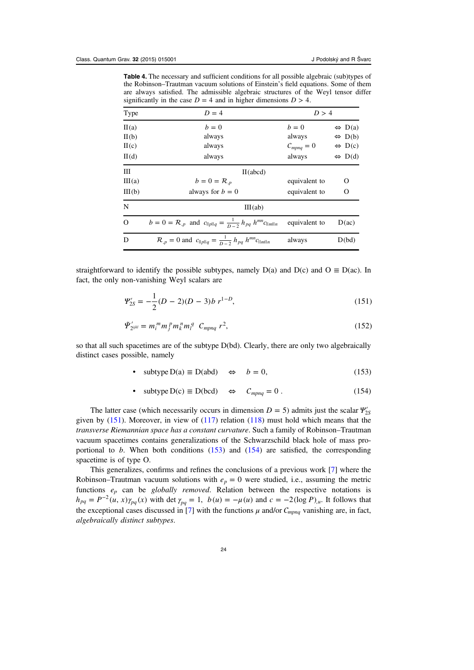<span id="page-24-0"></span>Table 4. The necessary and sufficient conditions for all possible algebraic (sub)types of the Robinson–Trautman vacuum solutions of Einstein's field equations. Some of them are always satisfied. The admissible algebraic structures of the Weyl tensor differ significantly in the case  $D = 4$  and in higher dimensions  $D > 4$ .

| Type     | $D=4$                                                                               | D > 4          |                        |
|----------|-------------------------------------------------------------------------------------|----------------|------------------------|
| II(a)    | $b=0$                                                                               | $b=0$          | $\Leftrightarrow$ D(a) |
| II(b)    | always                                                                              | always         | $\Leftrightarrow$ D(b) |
| H(c)     | always                                                                              | $C_{mpnq} = 0$ | $\Leftrightarrow$ D(c) |
| II(d)    | always                                                                              | always         | $\Leftrightarrow$ D(d) |
| III      | II(abcd)                                                                            |                |                        |
| III(a)   | $b = 0 = R_{n}$                                                                     | equivalent to  | Ω                      |
| III(b)   | always for $b = 0$                                                                  | equivalent to  | О                      |
| N        | III(ab)                                                                             |                |                        |
| $\Omega$ | $b = 0 = \mathcal{R}_{p}$ and $c_{  p  q} = \frac{1}{D-2} h_{pq} h^{mn} c_{  m  n}$ | equivalent to  | D(ac)                  |
| D        | $\mathcal{R}_{p} = 0$ and $c_{  p  q} = \frac{1}{D-2} h_{pq} h^{mn} c_{  m  n}$     | always         | D(bd)                  |

straightforward to identify the possible subtypes, namely  $D(a)$  and  $D(c)$  and  $O \equiv D(ac)$ . In fact, the only non-vanishing Weyl scalars are

$$
\mathcal{Y}_{2S}' = -\frac{1}{2}(D-2)(D-3)b \ r^{1-D}, \tag{151}
$$

$$
\tilde{\Psi}_{2^{ijkl}}' = m_i^m m_j^m m_i^m m_i^q C_{mpnq} r^2, \qquad (152)
$$

so that all such spacetimes are of the subtype D(bd). Clearly, there are only two algebraically distinct cases possible, namely

• subtype  $D(a) \equiv D(abd) \Leftrightarrow b = 0$ , (153)

• subtype 
$$
D(c) \equiv D(bcd) \Leftrightarrow C_{mpnq} = 0
$$
. (154)

The latter case (which necessarily occurs in dimension  $D = 5$ ) admits just the scalar  $\Psi'_{2S}$ given by  $(151)$ . Moreover, in view of  $(117)$  $(117)$  relation  $(118)$  must hold which means that the transverse Riemannian space has a constant curvature. Such a family of Robinson–Trautman vacuum spacetimes contains generalizations of the Schwarzschild black hole of mass proportional to  $b$ . When both conditions  $(153)$  and  $(154)$  are satisfied, the corresponding spacetime is of type O.

This generalizes, confirms and refines the conclusions of a previous work [[7\]](#page-33-0) where the Robinson–Trautman vacuum solutions with  $e_p = 0$  were studied, i.e., assuming the metric functions  $e_p$  can be globally removed. Relation between the respective notations is  $h_{pq} = P^{-2}(u, x) \gamma_{pq}(x)$  with det  $\gamma_{pq} = 1$ ,  $b(u) = -\mu(u)$  and  $c = -2(\log P)_{u}$ . It follows that the exceptional cases discussed in [[7](#page-33-0)] with the functions  $\mu$  and/or  $C_{mpnq}$  vanishing are, in fact, algebraically distinct subtypes.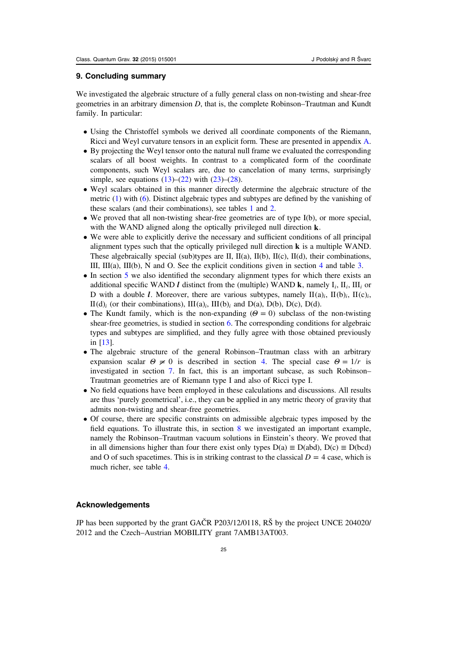## 9. Concluding summary

We investigated the algebraic structure of a fully general class on non-twisting and shear-free geometries in an arbitrary dimension  $D$ , that is, the complete Robinson–Trautman and Kundt family. In particular:

- Using the Christoffel symbols we derived all coordinate components of the Riemann, Ricci and Weyl curvature tensors in an explicit form. These are presented in appendix [A.](#page-26-0)
- By projecting the Weyl tensor onto the natural null frame we evaluated the corresponding scalars of all boost weights. In contrast to a complicated form of the coordinate components, such Weyl scalars are, due to cancelation of many terms, surprisingly simple, see equations  $(13)$  $(13)$ – $(22)$  $(22)$  with  $(23)$  $(23)$ – $(28)$  $(28)$ .
- Weyl scalars obtained in this manner directly determine the algebraic structure of the metric [\(1](#page-3-0)) with ([6\)](#page-3-0). Distinct algebraic types and subtypes are defined by the vanishing of these scalars (and their combinations), see tables [1](#page-7-0) and [2](#page-7-0).
- We proved that all non-twisting shear-free geometries are of type I(b), or more special, with the WAND aligned along the optically privileged null direction **k**.
- We were able to explicitly derive the necessary and sufficient conditions of all principal alignment types such that the optically privileged null direction **k** is a multiple WAND. These algebraically special (sub)types are II, II(a), II(b), II(c), II(d), their combinations, III, III(a), III(b), N and O. See the explicit conditions given in section  $4$  and table  $3$ .
- In section [5](#page-12-0) we also identified the secondary alignment types for which there exists an additional specific WAND *l* distinct from the (multiple) WAND **k**, namely  $I_i$ ,  $II_i$ ,  $III_i$  or D with a double *l*. Moreover, there are various subtypes, namely  $\text{II}(a)_i$ ,  $\text{II}(b)_i$ ,  $\text{II}(c)_i$ ,  $II(d)_i$  (or their combinations),  $III(a)_i$ ,  $III(b)_i$  and  $D(a)$ ,  $D(b)$ ,  $D(c)$ ,  $D(d)$ .
- The Kundt family, which is the non-expanding  $(\Theta = 0)$  subclass of the non-twisting shear-free geometries, is studied in section [6.](#page-13-0) The corresponding conditions for algebraic types and subtypes are simplified, and they fully agree with those obtained previously in [[13\]](#page-33-0).
- The algebraic structure of the general Robinson–Trautman class with an arbitrary expansion scalar  $\Theta \neq 0$  is described in section [4](#page-8-0). The special case  $\Theta = 1/r$  is investigated in section [7.](#page-15-0) In fact, this is an important subcase, as such Robinson– Trautman geometries are of Riemann type I and also of Ricci type I.
- No field equations have been employed in these calculations and discussions. All results are thus 'purely geometrical', i.e., they can be applied in any metric theory of gravity that admits non-twisting and shear-free geometries.
- Of course, there are specific constraints on admissible algebraic types imposed by the field equations. To illustrate this, in section [8](#page-18-0) we investigated an important example, namely the Robinson–Trautman vacuum solutions in Einstein's theory. We proved that in all dimensions higher than four there exist only types  $D(a) \equiv D(abd)$ ,  $D(c) \equiv D(bcd)$ and O of such spacetimes. This is in striking contrast to the classical  $D = 4$  case, which is much richer, see table [4.](#page-24-0)

#### Acknowledgements

JP has been supported by the grant GAČR P203/12/0118, RŠ by the project UNCE 204020/ 2012 and the Czech–Austrian MOBILITY grant 7AMB13AT003.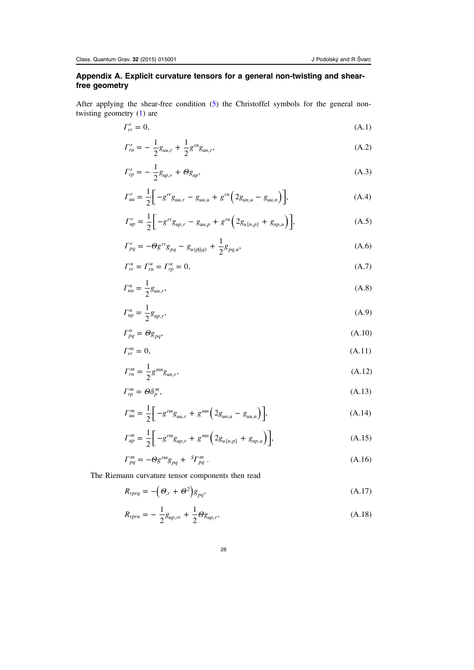# <span id="page-26-0"></span>Appendix A. Explicit curvature tensors for a general non-twisting and shearfree geometry

After applying the shear-free condition ([5\)](#page-3-0) the Christoffel symbols for the general nontwisting geometry  $(1)$  $(1)$  $(1)$  are

$$
\Gamma_r^r = 0,\tag{A.1}
$$

$$
\Gamma_{ru}^r = -\frac{1}{2}g_{uu,r} + \frac{1}{2}g^{rr}g_{un,r},\tag{A.2}
$$

$$
\Gamma_{rp}^r = -\frac{1}{2}g_{up,r} + \Theta g_{up},\tag{A.3}
$$

$$
\Gamma_{uu}^r = \frac{1}{2} \left[ -g^{rr} g_{uu,r} - g_{uu,u} + g^{rr} \left( 2g_{uu,u} - g_{uu,n} \right) \right],\tag{A.4}
$$

$$
\Gamma_{up}^r = \frac{1}{2} \bigg[ -g^{rr} g_{up,r} - g_{uu,p} + g^{rn} \bigg( 2g_{u[n,p]} + g_{np,u} \bigg) \bigg],\tag{A.5}
$$

$$
\Gamma_{pq}^{r} = -\Theta g^{rr} g_{pq} - g_{u(p||q)} + \frac{1}{2} g_{pq,u}, \tag{A.6}
$$

$$
\Gamma_{rr}^u = \Gamma_{ru}^u = \Gamma_{rp}^u = 0,\tag{A.7}
$$

$$
\Gamma_{uu}^u = \frac{1}{2} g_{uu,r},\tag{A.8}
$$

$$
\Gamma_{up}^{u} = \frac{1}{2} g_{up,r},\tag{A.9}
$$

$$
\Gamma_{pq}^u = \Theta g_{pq},\tag{A.10}
$$

$$
\Gamma_n^m = 0,\tag{A.11}
$$

$$
\Gamma_{ru}^{m} = \frac{1}{2} g^{mn} g_{un,r},\tag{A.12}
$$

$$
\Gamma_{rp}^m = \Theta \delta_p^m,\tag{A.13}
$$

$$
\Gamma_{uu}^{m} = \frac{1}{2} \left[ -g^{rm} g_{uu,r} + g^{mn} \left( 2g_{un,u} - g_{uu,n} \right) \right],
$$
\n(A.14)

$$
\Gamma_{up}^{m} = \frac{1}{2} \left[ -g^{rm} g_{up,r} + g^{mn} \left( 2g_{u[n,p]} + g_{np,u} \right) \right],
$$
\n(A.15)

$$
\Gamma_{pq}^m = -\Theta g^{rm} g_{pq} + \,^S \Gamma_{pq}^m \,. \tag{A.16}
$$

The Riemann curvature tensor components then read

$$
R_{rprq} = -(\Theta_{,r} + \Theta^2)g_{pq},\tag{A.17}
$$

$$
R_{ppru} = -\frac{1}{2}g_{up,rr} + \frac{1}{2}\Theta g_{up,r},
$$
\n(A.18)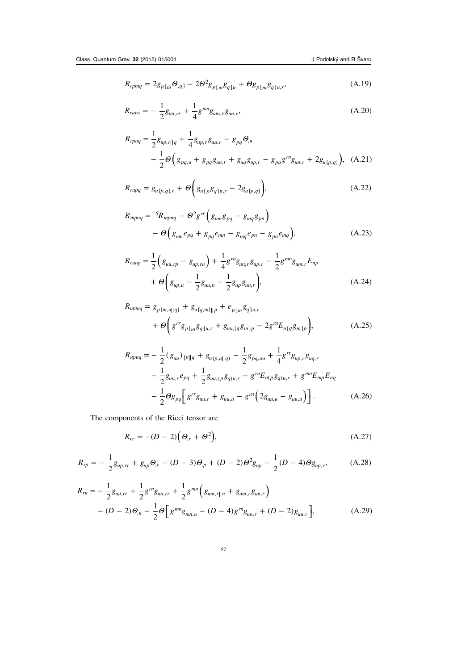<span id="page-27-0"></span>
$$
R_{rpmq} = 2g_{p[m}\Theta_{,q]} - 2\Theta^2 g_{p[m}g_{q]u} + \Theta g_{p[m}g_{q]u,r}, \qquad (A.19)
$$

$$
R_{run} = -\frac{1}{2}g_{uu,rr} + \frac{1}{4}g^{mn}g_{um,r}g_{un,r},
$$
\n(A.20)

$$
R_{rpuq} = \frac{1}{2} g_{up,r||q} + \frac{1}{4} g_{up,r} g_{uq,r} - g_{pq} \Theta_u
$$
  
- 
$$
\frac{1}{2} \Theta \Big( g_{pq,u} + g_{pq} g_{uu,r} + g_{uq} g_{up,r} - g_{pq} g^{rn} g_{un,r} + 2 g_{u[p,q]} \Big), \quad (A.21)
$$

$$
R_{rupq} = g_{u[p,q],r} + \Theta \bigg( g_{u[p} g_{q]u,r} - 2g_{u[p,q]} \bigg), \tag{A.22}
$$

$$
R_{mpnq} = {}^{S}R_{mpnq} - \Theta^2 g^{rr} \left( g_{mn} g_{pq} - g_{mq} g_{pn} \right)
$$

$$
- \Theta \left( g_{mn} e_{pq} + g_{pq} e_{mn} - g_{mq} e_{pn} - g_{pn} e_{mq} \right), \tag{A.23}
$$

$$
R_{ruup} = \frac{1}{2} \left( g_{uu,rp} - g_{up,ru} \right) + \frac{1}{4} g^{rn} g_{un,r} g_{up,r} - \frac{1}{2} g^{mn} g_{um,r} E_{np}
$$
  
+  $\Theta \left( g_{up,u} - \frac{1}{2} g_{uu,p} - \frac{1}{2} g_{up} g_{uu,r} \right),$  (A.24)

$$
R_{upmq} = g_{p[m,u||q]} + g_{u[q,m]||p} + e_{p[m}g_{q]u,r}
$$
  
+  $\Theta\left(g^{rr}g_{p[m}g_{q]u,r} + g_{uu,[q}g_{m]p} - 2g^{rr}E_{n[q}g_{m]p}\right),$  (A.25)

$$
R_{upuq} = -\frac{1}{2} (g_{uu})_{\|p\|q} + g_{u(p,u\|q)} - \frac{1}{2} g_{pq,uu} + \frac{1}{4} g^{rr} g_{up,r} g_{uq,r}
$$
  

$$
-\frac{1}{2} g_{uu,r} e_{pq} + \frac{1}{2} g_{uu,(p} g_{q)u,r} - g^{rr} E_{n(p} g_{q)u,r} + g^{mn} E_{mp} E_{nq}
$$
  

$$
-\frac{1}{2} \Theta g_{pq} \Big[ g^{rr} g_{uu,r} + g_{uu,u} - g^{rr} \Big( 2 g_{un,u} - g_{uu,n} \Big) \Big].
$$
 (A.26)

The components of the Ricci tensor are

$$
R_{rr} = -(D-2)\left(\Theta_{,r} + \Theta^2\right),\tag{A.27}
$$

$$
R_{rp} = -\frac{1}{2}g_{up,rr} + g_{up}\Theta_{,r} - (D-3)\Theta_{,p} + (D-2)\Theta^2 g_{up} - \frac{1}{2}(D-4)\Theta g_{up,r}, \tag{A.28}
$$

$$
R_{ru} = -\frac{1}{2}g_{uu,rr} + \frac{1}{2}g^{rn}g_{un,rr} + \frac{1}{2}g^{mn}\left(g_{um,r||n} + g_{um,r}g_{un,r}\right) - (D - 2)\Theta_{,u} - \frac{1}{2}\Theta\left[g^{mn}g_{mn,u} - (D - 4)g^{rn}g_{un,r} + (D - 2)g_{uu,r}\right],
$$
(A.29)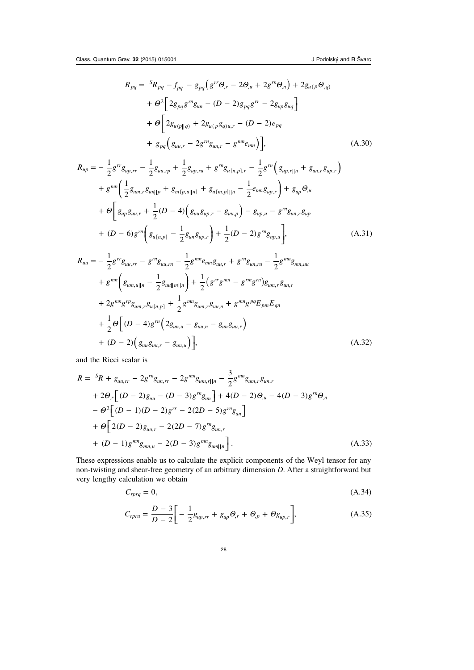<span id="page-28-0"></span>
$$
R_{pq} = {}^{S}R_{pq} - f_{pq} - g_{pq} (g^{rr}\Theta_{,r} - 2\Theta_{,u} + 2g^{rn}\Theta_{,n}) + 2g_{u(p}\Theta_{,q)}
$$
  
+ 
$$
\Theta^{2} \Big[ 2g_{pq}g^{rn}g_{un} - (D - 2)g_{pq}g^{rr} - 2g_{up}g_{uq} \Big] + \Theta \Big[ 2g_{u(p||q)} + 2g_{u(p}g_{q)u,r} - (D - 2)e_{pq} + g_{pq} (g_{uu,r} - 2g^{rn}g_{un,r} - g^{mn}e_{mn}) \Big],
$$
(A.30)

$$
R_{up} = -\frac{1}{2}g^{rr}g_{up,rr} - \frac{1}{2}g_{uu,rp} + \frac{1}{2}g_{up,ru} + g^{rn}g_{u[n,p],r} - \frac{1}{2}g^{rn}\left(g_{up,r||n} + g_{un,r}g_{up,r}\right) + g^{mn}\left(\frac{1}{2}g_{um,r}g_{un||p} + g_{m[p,u||n]} + g_{u[m,p]||n} - \frac{1}{2}e_{mn}g_{up,r}\right) + g_{up}\Theta_{,u} + \Theta\left[g_{up}g_{uu,r} + \frac{1}{2}(D-4)\left(g_{uu}g_{up,r} - g_{uu,p}\right) - g_{up,u} - g^{rn}g_{un,r}g_{up} + (D-6)g^{rn}\left(g_{u[n,p]} - \frac{1}{2}g_{un}g_{up,r}\right) + \frac{1}{2}(D-2)g^{rn}g_{np,u}\right],
$$
\n(A.31)

$$
R_{uu} = -\frac{1}{2}g^{rr}g_{uu,rr} - g^{rn}g_{uu,rm} - \frac{1}{2}g^{mn}e_{mn}g_{uu,r} + g^{rn}g_{un,ru} - \frac{1}{2}g^{mn}g_{mn,uu}
$$
  
+  $g^{mn}\left(g_{um,u||n} - \frac{1}{2}g_{uu||m||n}\right) + \frac{1}{2}(g^{rr}g^{mn} - g^{rm}g^{rn})g_{um,r}g_{un,r}$   
+  $2g^{mn}g^{rp}g_{um,r}g_{u[n,p]} + \frac{1}{2}g^{mn}g_{um,r}g_{uu,n} + g^{mn}g^{pq}E_{pm}E_{qn}$   
+  $\frac{1}{2}\Theta\left[(D-4)g^{rn}\left(2g_{un,u} - g_{uu,n} - g_{un}g_{uu,r}\right)\right]$   
+  $(D-2)\left(g_{uu}g_{uu,r} - g_{uu,u}\right)\right],$  (A.32)

and the Ricci scalar is

$$
R = {}^{S}R + g_{uu,rr} - 2g^{rn}g_{un,rr} - 2g^{mn}g_{um,r||n} - \frac{3}{2}g^{mn}g_{um,r}g_{un,r},
$$
  
+  $2\Theta_{,r} \Big[ (D - 2)g_{uu} - (D - 3)g^{rn}g_{un} \Big] + 4(D - 2)\Theta_{,u} - 4(D - 3)g^{rn}\Theta_{,n}$   
-  $\Theta^{2} \Big[ (D - 1)(D - 2)g^{rr} - 2(2D - 5)g^{rn}g_{un} \Big]$   
+  $\Theta \Big[ 2(D - 2)g_{uu,r} - 2(2D - 7)g^{rn}g_{un,r}$   
+  $(D - 1)g^{mn}g_{mn,u} - 2(D - 3)g^{mn}g_{um||n} \Big].$  (A.33)

These expressions enable us to calculate the explicit components of the Weyl tensor for any non-twisting and shear-free geometry of an arbitrary dimension D. After a straightforward but very lengthy calculation we obtain

$$
C_{rprq} = 0,\t\t(A.34)
$$

$$
C_{rpru} = \frac{D-3}{D-2} \bigg[ -\frac{1}{2} g_{up,rr} + g_{up} \Theta_{,r} + \Theta_{,p} + \Theta_{g_{up,r}} \bigg], \tag{A.35}
$$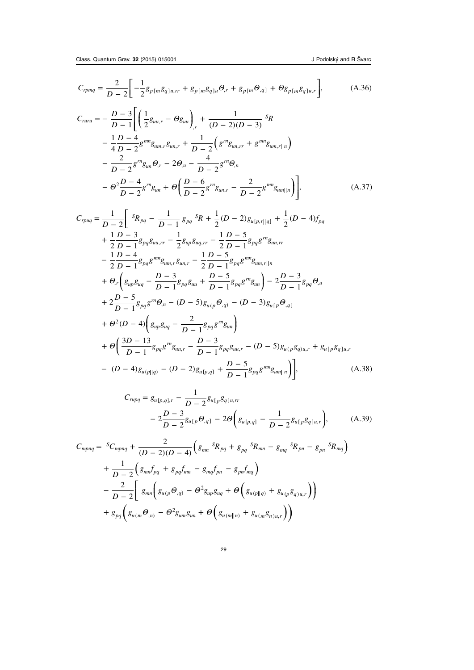$$
C_{rpmq} = \frac{2}{D-2} \left[ -\frac{1}{2} g_{p[m} g_{q]u,rr} + g_{p[m} g_{q]u} \Theta_r + g_{p[m} \Theta_{,q]} + \Theta g_{p[m} g_{q]u,r} \right],
$$
(A.36)

$$
C_{ruru} = -\frac{D-3}{D-1} \Bigg[ \left( \frac{1}{2} g_{uu,r} - \Theta g_{uu} \right)_{,r} + \frac{1}{(D-2)(D-3)} s_R - \frac{1}{4} \frac{D-4}{D-2} g^{mn} g_{um,r} g_{un,r} + \frac{1}{D-2} \left( g^{m} g_{un,r} + g^{mn} g_{um,r||n} \right) - \frac{2}{D-2} g^{m} g_{un} \Theta_{,r} - 2 \Theta_{,u} - \frac{4}{D-2} g^{rn} \Theta_{,n} - \Theta^{2} \frac{D-4}{D-2} g^{rn} g_{un} + \Theta \left( \frac{D-6}{D-2} g^{rn} g_{un,r} - \frac{2}{D-2} g^{mn} g_{um||n} \right) \Bigg],
$$
(A.37)

$$
C_{rpuq} = \frac{1}{D-2} \left[ \frac{s_{R_{pq}} - \frac{1}{D-1} g_{pq} s_{R} + \frac{1}{2} (D-2) g_{u[p,r||q]} + \frac{1}{2} (D-4) f_{pq} \right. \\ + \frac{1}{2} \frac{D-3}{D-1} g_{pq} g_{uu,rr} - \frac{1}{2} g_{up} g_{uq,rr} - \frac{1}{2} \frac{D-5}{D-1} g_{pq} g^{mg} g_{uu,rr} \\ - \frac{1}{2} \frac{D-4}{D-1} g_{pq} g^{mm} g_{um,r} g_{un,r} - \frac{1}{2} \frac{D-5}{D-1} g_{pq} g^{mm} g_{um,r||n} \\ + \Theta_{,r} \left( g_{up} g_{uq} - \frac{D-3}{D-1} g_{pq} g_{uu} + \frac{D-5}{D-1} g_{pq} g^{mg} g_{uu} \right) - 2 \frac{D-3}{D-1} g_{pq} \Theta_{,u} \\ + 2 \frac{D-5}{D-1} g_{pq} g^{rn} \Theta_{,n} - (D-5) g_{u(p} \Theta_{,q)} - (D-3) g_{u[p} \Theta_{,q}] \\ + \Theta^{2} (D-4) \left( g_{up} g_{uq} - \frac{2}{D-1} g_{pq} g^{rn} g_{un} \right) \\ + \Theta \left( \frac{3D-13}{D-1} g_{pq} g^{rn} g_{un,r} - \frac{D-3}{D-1} g_{pq} g_{uu,r} - (D-5) g_{u(p} g_{q)u,r} + g_{u[p} g_{q]u,r} \\ - (D-4) g_{u(p||q)} - (D-2) g_{u[p,q]} + \frac{D-5}{D-1} g_{pq} g^{mm} g_{um||n} \right) \right], \tag{A.38}
$$

$$
C_{rupq} = g_{u[p,q],r} - \frac{1}{D-2} g_{u[p} g_{q]u,rr}
$$
  
- 
$$
2 \frac{D-3}{D-2} g_{u[p} \Theta_{,q]} - 2\Theta \left( g_{u[p,q]} - \frac{1}{D-2} g_{u[p} g_{q]u,r} \right),
$$
 (A.39)

$$
C_{mpnq} = {}^{S}C_{mpnq} + \frac{2}{(D-2)(D-4)} \Big( g_{mn} {}^{S}R_{pq} + g_{pq} {}^{S}R_{mn} - g_{mq} {}^{S}R_{pn} - g_{pn} {}^{S}R_{mq} \Big)
$$
  
+ 
$$
\frac{1}{D-2} \Big( g_{mn} f_{pq} + g_{pq} f_{mn} - g_{mq} f_{pn} - g_{pn} f_{mq} \Big)
$$
  
- 
$$
\frac{2}{D-2} \Bigg[ g_{mn} \Big( g_{u(p)} \Theta_{,q)} - \Theta^2 g_{up} g_{uq} + \Theta \Big( g_{u(p||q)} + g_{u(p} g_{q)u,r} \Big) \Big)
$$
  
+ 
$$
g_{pq} \Big( g_{u(m)} \Theta_{,n)} - \Theta^2 g_{um} g_{un} + \Theta \Big( g_{u(m||n)} + g_{u(m} g_{n)u,r} \Big) \Big)
$$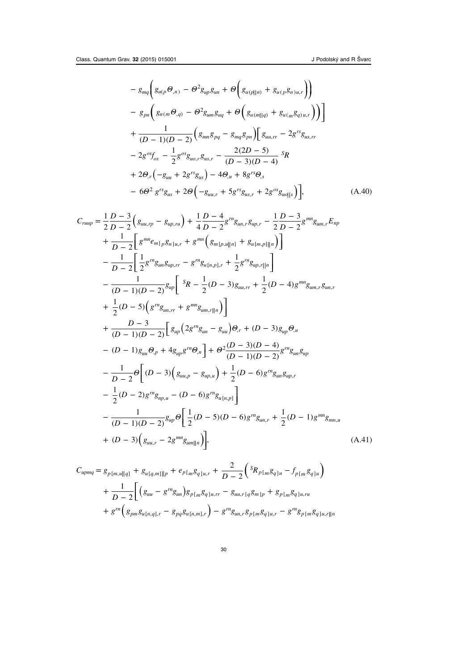$$
-g_{mq}\left(g_{u(p}\Theta_{,n}) - \Theta^2 g_{up}g_{un} + \Theta\left(g_{u(p||n)} + g_{u(p}g_{n)u,r}\right)\right)
$$
  

$$
-g_{pn}\left(g_{u(m}\Theta_{,q}) - \Theta^2 g_{um}g_{uq} + \Theta\left(g_{u(m||q)} + g_{u(m}g_{q)u,r}\right)\right)
$$
  

$$
+\frac{1}{(D-1)(D-2)}\left(g_{mn}g_{pq} - g_{mq}g_{pn}\right)\left[g_{uu,rr} - 2g^{rs}g_{us,rr}\right]
$$
  

$$
-2g^{os}f_{os} - \frac{1}{2}g^{os}g_{uo,r}g_{us,r} - \frac{2(2D-5)}{(D-3)(D-4)}g_{R}
$$
  

$$
+2\Theta_{,r}\left(-g_{uu} + 2g^{rs}g_{us}\right) - 4\Theta_{,u} + 8g^{rs}\Theta_{,s}
$$
  

$$
-6\Theta^2 g^{rs}g_{us} + 2\Theta\left(-g_{uu,r} + 5g^{rs}g_{us,r} + 2g^{os}g_{uo||s}\right)\right],
$$
 (A.40)

$$
C_{rump} = \frac{1}{2} \frac{D-3}{D-2} \left( g_{uu,rp} - g_{up,ru} \right) + \frac{1}{4} \frac{D-4}{D-2} g^{rn} g_{un,r} g_{up,r} - \frac{1}{2} \frac{D-3}{D-2} g^{mn} g_{um,r} E_{np}
$$
  
+  $\frac{1}{D-2} \left[ g^{mn} e_{m[p} g_{n]u,r} + g^{mn} \left( g_{m[p,u]n]} + g_{u[m,p]n} \right) \right]$   
-  $\frac{1}{D-2} \left[ \frac{1}{2} g^{rn} g_{un} g_{up,r} - g^{rn} g_{u[n,p],r} + \frac{1}{2} g^{rn} g_{up,r \|n} \right]$   
-  $\frac{1}{(D-1)(D-2)} g_{up} \left[ {}^{s}R - \frac{1}{2}(D-3) g_{uu,rr} + \frac{1}{2}(D-4) g^{mn} g_{um,r} g_{un,r}$   
+  $\frac{1}{2}(D-5) \left( g^{rn} g_{un,rr} + g^{mn} g_{um,r \|n} \right) \right]$   
+  $\frac{D-3}{(D-1)(D-2)} \left[ g_{up} \left( 2 g^{rn} g_{un} - g_{uu} \right) \Theta_{,r} + (D-3) g_{up} \Theta_{,u}$   
-  $(D-1) g_{uu} \Theta_{,p} + 4 g_{up} g^{rn} \Theta_{,n} \right] + \Theta^{2} \frac{(D-3)(D-4)}{(D-1)(D-2)} g^{rn} g_{un} g_{up}$   
-  $\frac{1}{D-2} \Theta \left[ (D-3) \left( g_{uu,p} - g_{up,u} \right) + \frac{1}{2} (D-6) g^{rn} g_{un} g_{up,r} - \frac{1}{2} (D-2) g^{rn} g_{mp,u} - (D-6) g^{rn} g_{un,r} \right] - \frac{1}{(D-1)(D-2)} g_{up} \Theta \left[ \frac{1}{2} (D-5)(D-6) g^{rn} g_{un,r} + \frac{1}{2} (D-1) g^{mn} g_{mn,u} + (D-3) \left( g_{uu,r} - 2 g^{mn} g_{um \|n} \right) \right],$  (A.41)

$$
C_{upmq} = g_{p[m,u||q]} + g_{u[q,m]||p} + e_{p[m}g_{q]u,r} + \frac{2}{D-2} \left( s_{p[m}g_{q]u} - f_{p[m}g_{q]u} \right)
$$
  
+ 
$$
\frac{1}{D-2} \left[ \left( g_{uu} - g^{rn}g_{un} \right) g_{p[m}g_{q]u,rr} - g_{uu,r[q}g_{m]p} + g_{p[m}g_{q]u,ru} \right]
$$
  
+ 
$$
g^{rn} \left( g_{pm}g_{u[n,q],r} - g_{pq}g_{u[n,m],r} \right) - g^{rn}g_{un,r}g_{p[m}g_{q]u,r} - g^{rn}g_{p[m}g_{q]u,r||n}
$$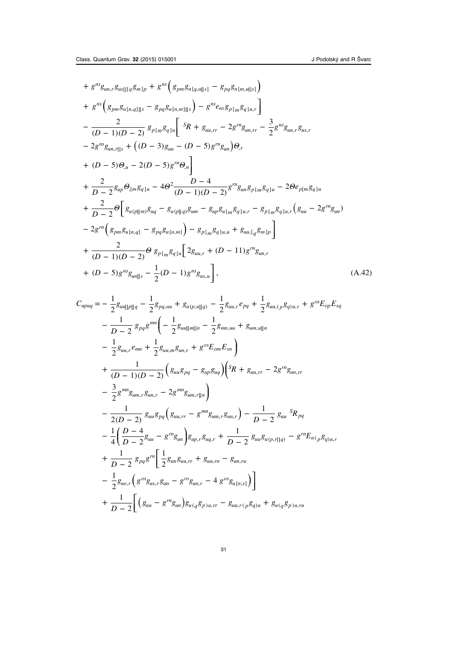+ 
$$
g^{ns}g_{un,r}g_{us}||[qg_{m}]_p + g^{ns} (g_{pm}g_{n[q,u||s]} - g_{pq}g_{n[m,u||s]})
$$
  
\n+  $g^{ns} (g_{pm}g_{u[n,q]||s} - g_{pq}g_{u[n,m]||s}) - g^{ns}e_{ns}g_{p[m}g_{q]u,r}]$   
\n $- \frac{2}{(D-1)(D-2)} g_{p[m}g_{q]u} [sR + g_{uu,rr} - 2g^{rn}g_{un,rr} - \frac{3}{2}g^{ns}g_{un,r}g_{us,r}$   
\n $- 2g^{ns}g_{un,r||s} + ((D-3)g_{uu} - (D-5)g^{rn}g_{un})\Theta_r$   
\n+  $(D-5)\Theta_u - 2(D-5)g^{rn}\Theta_n$   
\n+  $\frac{2}{D-2} g_{up} \Theta_{,[m}g_{q]u} - 4\Theta^2 \frac{D-4}{(D-1)(D-2)}g^{rn}g_{un}g_{p[m}g_{q]u} - 2\Theta e_{p[m}g_{q]u}$   
\n+  $\frac{2}{D-2} \Theta \left[ g_{u(p||m)}g_{uq} - g_{u(p||q)}g_{um} - g_{up}g_{u[m}g_{q]u,r} - g_{p[m}g_{q]u,r} (g_{uu} - 2g^{rn}g_{un})$   
\n $- 2g^{rn} (g_{pm}g_{u[n,q]} - g_{pq}g_{u[n,m]}) - g_{p[m}g_{q]u,u} + g_{uu,[q}g_{m]p} \right]$   
\n+  $\frac{2}{(D-1)(D-2)} \Theta g_{p[m}g_{q]u} [2g_{uu,r} + (D-11)g^{rn}g_{un,r}$   
\n+  $(D-5)g^{ns}g_{un||s} - \frac{1}{2}(D-1)g^{ns}g_{ns,u}],$  (A.42)

$$
C_{upuq} = -\frac{1}{2}g_{uu||p||q} - \frac{1}{2}g_{pq,uu} + g_{u(p,u||q)} - \frac{1}{2}g_{uu,r}e_{pq} + \frac{1}{2}g_{uu,(p}g_{q)u,r} + g^{os}E_{op}E_{sq}
$$
  
\n
$$
-\frac{1}{D-2}g_{pq}g^{mn}\left(-\frac{1}{2}g_{uu||m||n} - \frac{1}{2}g_{mn,uu} + g_{um,u||n}\right)
$$
  
\n
$$
-\frac{1}{2}g_{uu,r}e_{mn} + \frac{1}{2}g_{uu,m}g_{un,r} + g^{os}E_{om}E_{sn}\right)
$$
  
\n
$$
+\frac{1}{(D-1)(D-2)}\left(g_{uu}g_{pq} - g_{up}g_{uq}\right)\left(S_{R} + g_{uu,r} - 2g^{rn}g_{un,r}\right)
$$
  
\n
$$
-\frac{3}{2}g^{mn}g_{um,r}g_{un,r} - 2g^{mn}g_{um,r||n}\right)
$$
  
\n
$$
-\frac{1}{2(D-2)}g_{uu}g_{pq}\left(g_{uu,rr} - g^{mn}g_{um,r}g_{un,r}\right) - \frac{1}{D-2}g_{uu}{}^{S}R_{pq}
$$
  
\n
$$
-\frac{1}{4}\left(\frac{D-4}{D-2}g_{uu} - g^{rn}g_{un}\right)g_{up,r}g_{uq,r} + \frac{1}{D-2}g_{uu}g_{u(p,r||q)} - g^{rn}E_{n(p}g_{q)u,r}
$$
  
\n
$$
+\frac{1}{D-2}g_{pq}g^{rn}\left[\frac{1}{2}g_{un}g_{uu,rr} + g_{uu,rr} - g_{un,ru}
$$
  
\n
$$
-\frac{1}{2}g_{uo,r}\left(g^{os}g_{us,r}g_{un} - g^{ro}g_{un,r} - 4g^{os}g_{u[n,s]}\right)\right]
$$
  
\n
$$
+\frac{1}{D-2}\left[\left(g_{uu} - g^{rn}g_{un}\right)g_{u(q}g_{p)u,rr} - g_{uu,r(p}g_{q)u} + g_{u(q}g_{p)u,ru}\right]
$$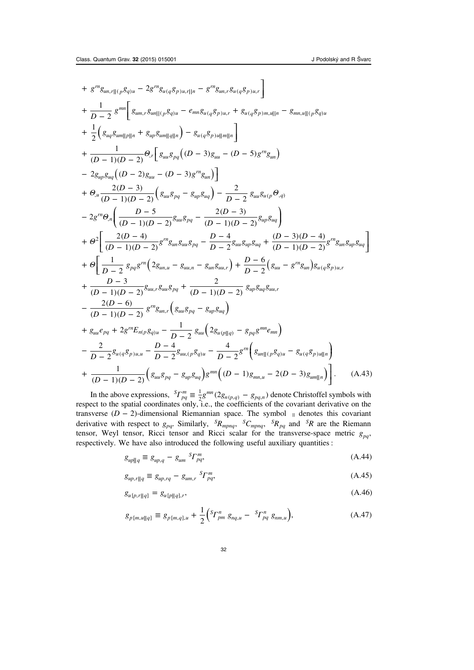<span id="page-32-0"></span>+ 
$$
g^{m}g_{un,\eta|_{(p}g_{q)u} - 2g^{rn}g_{u(q}g_{p)u,\eta|_{n} - g^{rn}g_{un,\eta}g_{u(q}g_{p)u,\eta}
$$
  
+  $\frac{1}{D-2}g^{mn}\left[g_{um,\eta}g_{un|_{(p}g_{q)u} - e_{mn}g_{u(q}g_{p)u,\eta} + g_{u(q}g_{p)m,u|_{n} - g_{mn,u|_{(p}g_{q)u}}$   
+  $\frac{1}{2}\left(g_{ug}g_{um||p||n} + g_{up}g_{um||q||n}\right) - g_{u(q}g_{p)u||m||n}\right]$   
+  $\frac{1}{(D-1)(D-2)}\Theta_{,\tau}\left[g_{uu}g_{pq}\left((D-3)g_{uu} - (D-5)g^{rn}g_{un}\right)$   
-  $2g_{up}g_{ug}(D-2)g_{uu} - (D-3)g^{rn}g_{un}\right]$   
+  $\Theta_{,\mu}\frac{2(D-3)}{(D-1)(D-2)}\left(g_{uu}g_{pq} - g_{up}g_{uq}\right) - \frac{2}{D-2}g_{uu}g_{u(p}\Theta_{,\eta)}$   
-  $2g^{m}\Theta_{,\eta}\left(\frac{D-5}{(D-1)(D-2)}g_{uu}g_{pq} - \frac{2(D-3)}{(D-1)(D-2)}g_{up}g_{uq}\right)$   
+  $\Theta_{\tau}^{2}\left[\frac{2(D-4)}{(D-1)(D-2)}g^{rn}g_{un}g_{uu}g_{pq} - \frac{D-4}{D-2}g_{uu}g_{up}g_{uq} + \frac{(D-3)(D-4)}{(D-1)(D-2)}g^{rn}g_{un}g_{up}g_{uq}\right]$   
+  $\Theta_{\tau}\left[\frac{1}{D-2}g_{pq}g^{rn}\left(2g_{un,u} - g_{uu,\eta} - g_{un}g_{uu,\eta}\right) + \frac{D-6}{D-2}\left(g_{uu} - g^{rn}g_{un}\right)g_{u(q}g_{p)u,\eta}$   
+  $\frac{D-3}{(D-1)(D-2)}g^{rn}g_{uu,\eta}g_{pq} + \frac{2}{(D-1)(D-2)}g^{nr}g_{un}g_{qu}g_{uu,\eta}$   
+  $\frac{2(D-6)}{(D-1$ 

In the above expressions,  ${}^S\! \Gamma^m_{pq} \equiv \frac{1}{2} g^{mn} (2g_{n(p,q)} - g_{pq,n})$  denote Christoffel symbols with respect to the spatial coordinates only, i.e., the coefficients of the covariant derivative on the transverse  $(D - 2)$ -dimensional Riemannian space. The symbol  $\parallel$  denotes this covariant derivative with respect to  $g_{pq}$ . Similarly,  ${}^S R_{mpnq}$ ,  ${}^S C_{mpnq}$ ,  ${}^S R_{pq}$  and  ${}^S R$  are the Riemann tensor, Weyl tensor, Ricci tensor and Ricci scalar for the transverse-space metric  $g_{pq}$ , respectively. We have also introduced the following useful auxiliary quantities :

$$
g_{up||q} \equiv g_{up,q} - g_{um} S_{Pq}, \tag{A.44}
$$

$$
g_{up,r||q} \equiv g_{up,rq} - g_{um,r} \, \, \,^S \Gamma_{pq}^m,\tag{A.45}
$$

$$
g_{u[p,r||q]} = g_{u[p||q],r},\tag{A.46}
$$

$$
g_{p[m,u][q]} \equiv g_{p[m,q],u} + \frac{1}{2} \Big( {}^{S} \! \Gamma^{n}_{pm} \; g_{nq,u} - {}^{S} \! \Gamma^{n}_{pq} \; g_{nm,u} \Big), \tag{A.47}
$$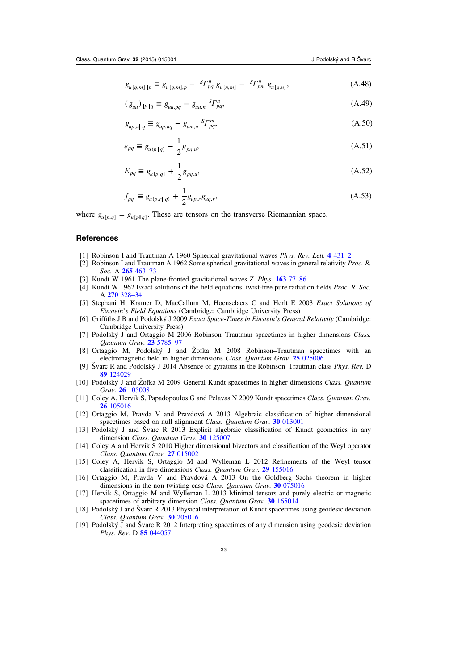<span id="page-33-0"></span> $g_{u[q,m] \| p} \equiv g_{u[q,m],p} - s \Gamma_{pq}^{n} g_{u[n,m]} - s \Gamma_{pm}^{n} g_{u[q,n]},$ (A.48)

$$
(g_{uu})_{\|p\|q} \equiv g_{uu,pq} - g_{uu,n}{}^{S} \Gamma_{pq}^{n}, \tag{A.49}
$$

$$
g_{up,u||q} \equiv g_{up,uq} - g_{um,u} \, ^S\!F_{pq}^m,\tag{A.50}
$$

$$
e_{pq} \equiv g_{u(p||q)} - \frac{1}{2}g_{pq,u},
$$
\n(A.51)

$$
E_{pq} \equiv g_{u[p,q]} + \frac{1}{2} g_{pq,u}, \tag{A.52}
$$

$$
f_{pq} \equiv g_{u(p,r||q)} + \frac{1}{2} g_{up,r} g_{uq,r}, \tag{A.53}
$$

where  $g_{u[p,q]} = g_{u[p||q]}$ . These are tensors on the transverse Riemannian space.

# **References**

- [1] Robinson I and Trautman A 1960 Spherical gravitational waves Phys. Rev. Lett. 4 [431](http://dx.doi.org/10.1103/PhysRevLett.4.431)-2
- [2] Robinson I and Trautman A 1962 Some spherical gravitational waves in general relativity *Proc. R.* Soc. A 265 [463](http://dx.doi.org/10.1098/rspa.1962.0036)–73
- [3] Kundt W 1961 The plane-fronted gravitational waves Z. Phys. **[163](http://dx.doi.org/10.1007/BF01328918)** 77–86
- [4] Kundt W 1962 Exact solutions of the field equations: twist-free pure radiation fields *Proc. R. Soc.* A 270 [328](http://dx.doi.org/10.1098/rspa.1962.0224)–34
- [5] Stephani H, Kramer D, MacCallum M, Hoenselaers C and Herlt E 2003 Exact Solutions of Einstein's Field Equations (Cambridge: Cambridge University Press)
- [6] Griffiths J B and Podolský J 2009 Exact Space-Times in Einstein's General Relativity (Cambridge: Cambridge University Press)
- [7] Podolský J and Ortaggio M 2006 Robinson–Trautman spacetimes in higher dimensions Class. Quantum Grav. 23 [5785](http://dx.doi.org/10.1088/0264-9381/23/20/002)–97
- [8] Ortaggio M, Podolský J and Žofka M 2008 Robinson–Trautman spacetimes with an electromagnetic field in higher dimensions Class. Quantum Grav. 25 [025006](http://dx.doi.org/10.1088/0264-9381/25/2/025006)
- [9] Švarc R and Podolský J 2014 Absence of gyratons in the Robinson–Trautman class Phys. Rev. D 89 [124029](http://dx.doi.org/10.1103/PhysRevD.89.124029)
- [10] Podolský J and Žofka M 2009 General Kundt spacetimes in higher dimensions Class. Quantum Grav. 26 [105008](http://dx.doi.org/10.1088/0264-9381/26/10/105008)
- [11] Coley A, Hervik S, Papadopoulos G and Pelavas N 2009 Kundt spacetimes Class. Quantum Grav. 26 [105016](http://dx.doi.org/10.1088/0264-9381/26/10/105016)
- [12] Ortaggio M, Pravda V and Pravdová A 2013 Algebraic classification of higher dimensional spacetimes based on null alignment Class. Quantum Grav. 30 [013001](http://dx.doi.org/10.1088/0264-9381/30/1/013001)
- [13] Podolský J and Švarc R 2013 Explicit algebraic classification of Kundt geometries in any dimension Class. Quantum Grav. 30 [125007](http://dx.doi.org/10.1088/0264-9381/30/12/125007)
- [14] Coley A and Hervik S 2010 Higher dimensional bivectors and classification of the Weyl operator Class. Quantum Grav. 27 [015002](http://dx.doi.org/10.1088/0264-9381/27/1/015002)
- [15] Coley A, Hervik S, Ortaggio M and Wylleman L 2012 Refinements of the Weyl tensor classification in five dimensions Class. Quantum Grav. 29 [155016](http://dx.doi.org/10.1088/0264-9381/29/15/155016)
- [16] Ortaggio M, Pravda V and Pravdová A 2013 On the Goldberg–Sachs theorem in higher dimensions in the non-twisting case Class. Quantum Grav. 30 [075016](http://dx.doi.org/10.1088/0264-9381/30/1/013001)
- [17] Hervik S, Ortaggio M and Wylleman L 2013 Minimal tensors and purely electric or magnetic spacetimes of arbitrary dimension Class. Quantum Grav. 30 [165014](http://dx.doi.org/10.1088/0264-9381/30/16/165014)
- [18] Podolský J and Švarc R 2013 Physical interpretation of Kundt spacetimes using geodesic deviation Class. Quantum Grav. 30 [205016](http://dx.doi.org/10.1088/0264-9381/30/12/125007)
- [19] Podolský J and Švarc R 2012 Interpreting spacetimes of any dimension using geodesic deviation Phys. Rev. D 85 [044057](http://dx.doi.org/10.1103/PhysRevD.85.044057)